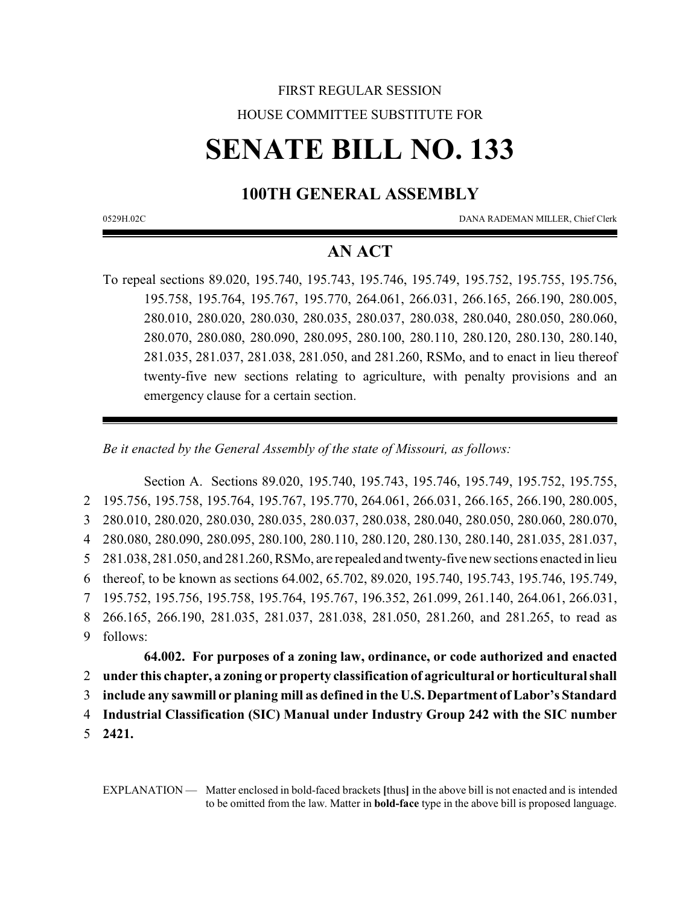# FIRST REGULAR SESSION HOUSE COMMITTEE SUBSTITUTE FOR

# **SENATE BILL NO. 133**

## **100TH GENERAL ASSEMBLY**

0529H.02C DANA RADEMAN MILLER, Chief Clerk

### **AN ACT**

To repeal sections 89.020, 195.740, 195.743, 195.746, 195.749, 195.752, 195.755, 195.756, 195.758, 195.764, 195.767, 195.770, 264.061, 266.031, 266.165, 266.190, 280.005, 280.010, 280.020, 280.030, 280.035, 280.037, 280.038, 280.040, 280.050, 280.060, 280.070, 280.080, 280.090, 280.095, 280.100, 280.110, 280.120, 280.130, 280.140, 281.035, 281.037, 281.038, 281.050, and 281.260, RSMo, and to enact in lieu thereof twenty-five new sections relating to agriculture, with penalty provisions and an emergency clause for a certain section.

*Be it enacted by the General Assembly of the state of Missouri, as follows:*

Section A. Sections 89.020, 195.740, 195.743, 195.746, 195.749, 195.752, 195.755, 195.756, 195.758, 195.764, 195.767, 195.770, 264.061, 266.031, 266.165, 266.190, 280.005, 280.010, 280.020, 280.030, 280.035, 280.037, 280.038, 280.040, 280.050, 280.060, 280.070, 280.080, 280.090, 280.095, 280.100, 280.110, 280.120, 280.130, 280.140, 281.035, 281.037, 281.038, 281.050, and 281.260, RSMo, are repealed and twenty-five new sections enacted in lieu thereof, to be known as sections 64.002, 65.702, 89.020, 195.740, 195.743, 195.746, 195.749, 195.752, 195.756, 195.758, 195.764, 195.767, 196.352, 261.099, 261.140, 264.061, 266.031, 266.165, 266.190, 281.035, 281.037, 281.038, 281.050, 281.260, and 281.265, to read as 9 follows:

**64.002. For purposes of a zoning law, ordinance, or code authorized and enacted** 2 **under this chapter, a zoning or property classification of agricultural or horticultural shall** 3 **include any sawmill or planing mill as defined in the U.S. Department ofLabor's Standard**

4 **Industrial Classification (SIC) Manual under Industry Group 242 with the SIC number**

5 **2421.**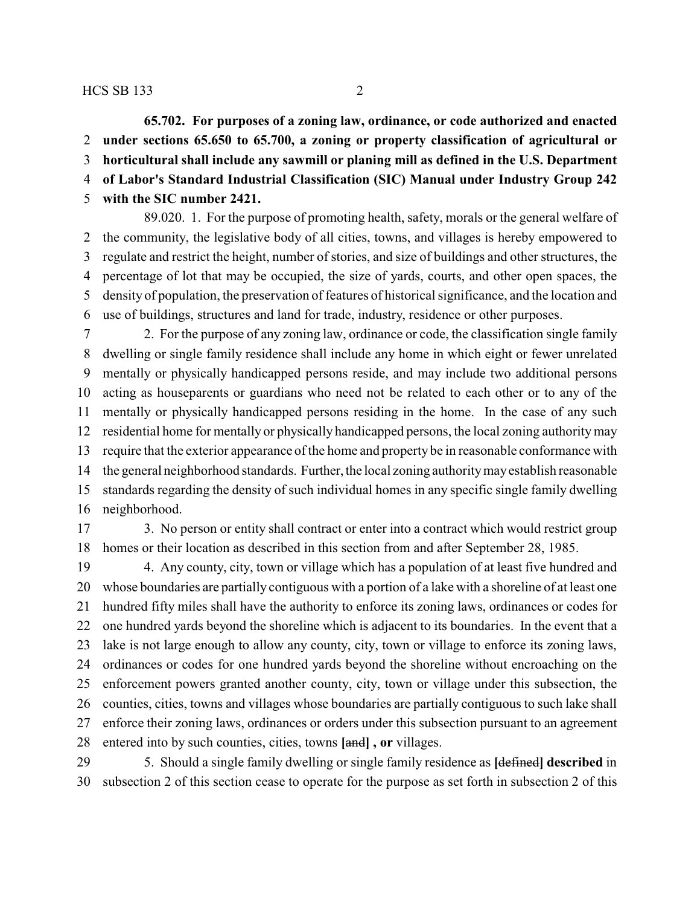**65.702. For purposes of a zoning law, ordinance, or code authorized and enacted under sections 65.650 to 65.700, a zoning or property classification of agricultural or horticultural shall include any sawmill or planing mill as defined in the U.S. Department of Labor's Standard Industrial Classification (SIC) Manual under Industry Group 242 with the SIC number 2421.**

89.020. 1. For the purpose of promoting health, safety, morals or the general welfare of the community, the legislative body of all cities, towns, and villages is hereby empowered to regulate and restrict the height, number of stories, and size of buildings and other structures, the percentage of lot that may be occupied, the size of yards, courts, and other open spaces, the density of population, the preservation of features of historical significance, and the location and use of buildings, structures and land for trade, industry, residence or other purposes.

 2. For the purpose of any zoning law, ordinance or code, the classification single family dwelling or single family residence shall include any home in which eight or fewer unrelated mentally or physically handicapped persons reside, and may include two additional persons acting as houseparents or guardians who need not be related to each other or to any of the mentally or physically handicapped persons residing in the home. In the case of any such residential home for mentally or physically handicapped persons, the local zoning authoritymay require that the exterior appearance of the home and property be in reasonable conformance with the general neighborhood standards. Further, the local zoning authoritymayestablish reasonable standards regarding the density of such individual homes in any specific single family dwelling neighborhood.

 3. No person or entity shall contract or enter into a contract which would restrict group homes or their location as described in this section from and after September 28, 1985.

 4. Any county, city, town or village which has a population of at least five hundred and whose boundaries are partially contiguous with a portion of a lake with a shoreline of at least one hundred fifty miles shall have the authority to enforce its zoning laws, ordinances or codes for one hundred yards beyond the shoreline which is adjacent to its boundaries. In the event that a lake is not large enough to allow any county, city, town or village to enforce its zoning laws, ordinances or codes for one hundred yards beyond the shoreline without encroaching on the enforcement powers granted another county, city, town or village under this subsection, the counties, cities, towns and villages whose boundaries are partially contiguous to such lake shall enforce their zoning laws, ordinances or orders under this subsection pursuant to an agreement entered into by such counties, cities, towns **[**and**] , or** villages.

 5. Should a single family dwelling or single family residence as **[**defined**] described** in subsection 2 of this section cease to operate for the purpose as set forth in subsection 2 of this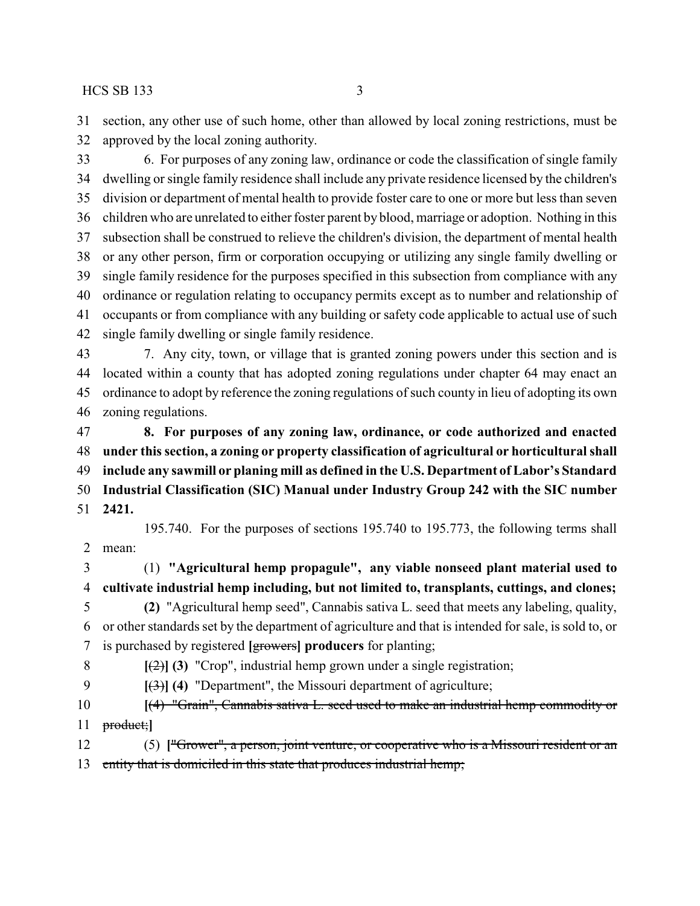section, any other use of such home, other than allowed by local zoning restrictions, must be approved by the local zoning authority.

 6. For purposes of any zoning law, ordinance or code the classification of single family dwelling or single family residence shall include any private residence licensed by the children's division or department of mental health to provide foster care to one or more but less than seven children who are unrelated to either foster parent by blood, marriage or adoption. Nothing in this subsection shall be construed to relieve the children's division, the department of mental health or any other person, firm or corporation occupying or utilizing any single family dwelling or single family residence for the purposes specified in this subsection from compliance with any ordinance or regulation relating to occupancy permits except as to number and relationship of occupants or from compliance with any building or safety code applicable to actual use of such single family dwelling or single family residence.

 7. Any city, town, or village that is granted zoning powers under this section and is located within a county that has adopted zoning regulations under chapter 64 may enact an ordinance to adopt by reference the zoning regulations of such county in lieu of adopting its own zoning regulations.

 **8. For purposes of any zoning law, ordinance, or code authorized and enacted under this section, a zoning or property classification of agricultural or horticultural shall include any sawmill or planing mill as defined in the U.S. Department ofLabor's Standard Industrial Classification (SIC) Manual under Industry Group 242 with the SIC number 2421.**

195.740. For the purposes of sections 195.740 to 195.773, the following terms shall mean:

 (1) **"Agricultural hemp propagule", any viable nonseed plant material used to cultivate industrial hemp including, but not limited to, transplants, cuttings, and clones; (2)** "Agricultural hemp seed", Cannabis sativa L. seed that meets any labeling, quality, or other standards set by the department of agriculture and that is intended for sale, is sold to, or

is purchased by registered **[**growers**] producers** for planting;

 **[**(2)**] (3)** "Crop", industrial hemp grown under a single registration; **[**(3)**] (4)** "Department", the Missouri department of agriculture;

 **[**(4) "Grain", Cannabis sativa L. seed used to make an industrial hemp commodity or product;**]**

 (5) **[**"Grower", a person, joint venture, or cooperative who is a Missouri resident or an entity that is domiciled in this state that produces industrial hemp;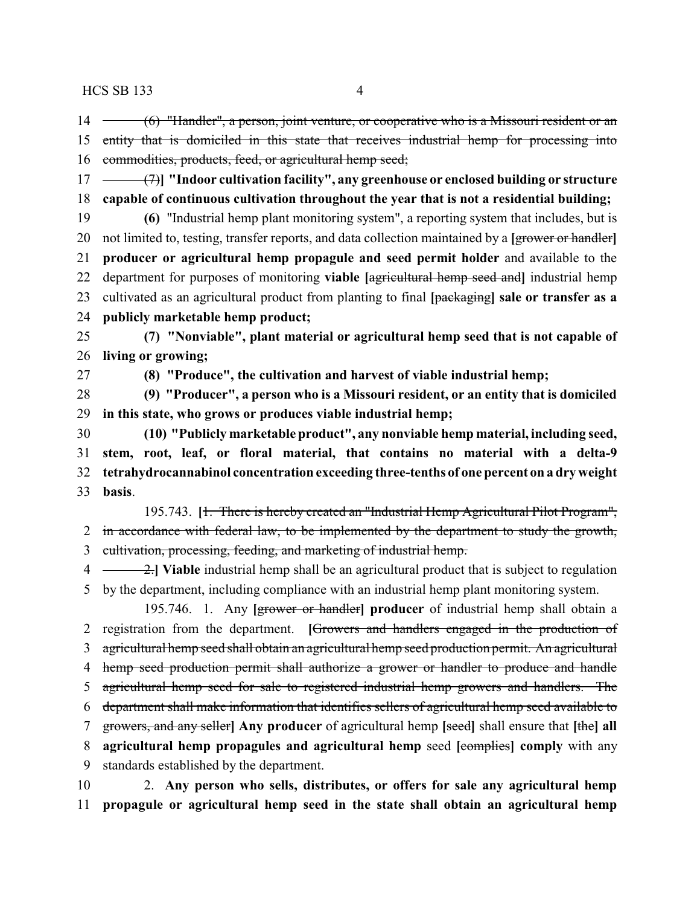14 (6) "Handler", a person, joint venture, or cooperative who is a Missouri resident or an 15 entity that is domiciled in this state that receives industrial hemp for processing into commodities, products, feed, or agricultural hemp seed;

 (7)**] "Indoor cultivation facility", any greenhouse or enclosed building or structure capable of continuous cultivation throughout the year that is not a residential building;**

 **(6)** "Industrial hemp plant monitoring system", a reporting system that includes, but is not limited to, testing, transfer reports, and data collection maintained by a **[**grower or handler**] producer or agricultural hemp propagule and seed permit holder** and available to the department for purposes of monitoring **viable [**agricultural hemp seed and**]** industrial hemp cultivated as an agricultural product from planting to final **[**packaging**] sale or transfer as a publicly marketable hemp product;**

 **(7) "Nonviable", plant material or agricultural hemp seed that is not capable of living or growing;**

**(8) "Produce", the cultivation and harvest of viable industrial hemp;**

 **(9) "Producer", a person who is a Missouri resident, or an entity that is domiciled in this state, who grows or produces viable industrial hemp;**

 **(10) "Publicly marketable product", any nonviable hemp material, including seed, stem, root, leaf, or floral material, that contains no material with a delta-9 tetrahydrocannabinol concentration exceeding three-tenths of one percent on a dry weight basis**.

195.743. **[**1. There is hereby created an "Industrial Hemp Agricultural Pilot Program", 2 in accordance with federal law, to be implemented by the department to study the growth, cultivation, processing, feeding, and marketing of industrial hemp.

 2.**] Viable** industrial hemp shall be an agricultural product that is subject to regulation by the department, including compliance with an industrial hemp plant monitoring system.

195.746. 1. Any **[**grower or handler**] producer** of industrial hemp shall obtain a registration from the department. **[**Growers and handlers engaged in the production of agricultural hemp seed shall obtain an agricultural hemp seed production permit. An agricultural 4 hemp seed production permit shall authorize a grower or handler to produce and handle agricultural hemp seed for sale to registered industrial hemp growers and handlers. The department shall make information that identifies sellers of agricultural hemp seed available to growers, and any seller**] Any producer** of agricultural hemp **[**seed**]** shall ensure that **[**the**] all agricultural hemp propagules and agricultural hemp** seed **[**complies**] comply** with any standards established by the department.

 2. **Any person who sells, distributes, or offers for sale any agricultural hemp propagule or agricultural hemp seed in the state shall obtain an agricultural hemp**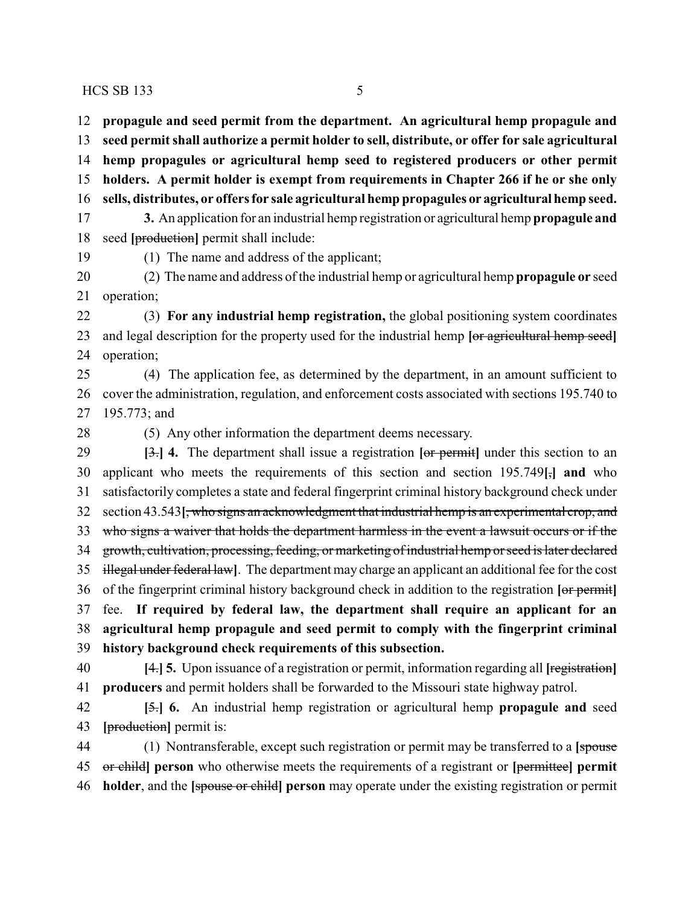**propagule and seed permit from the department. An agricultural hemp propagule and seed permit shall authorize a permit holder to sell, distribute, or offer for sale agricultural hemp propagules or agricultural hemp seed to registered producers or other permit holders. A permit holder is exempt from requirements in Chapter 266 if he or she only sells, distributes, or offers for sale agricultural hemp propagules or agricultural hemp seed. 3.** An application for an industrial hemp registration or agricultural hemp **propagule and** seed **[**production**]** permit shall include: (1) The name and address of the applicant;

 (2) The name and address of the industrial hemp or agricultural hemp **propagule or** seed operation;

 (3) **For any industrial hemp registration,** the global positioning system coordinates and legal description for the property used for the industrial hemp **[**or agricultural hemp seed**]** operation;

 (4) The application fee, as determined by the department, in an amount sufficient to cover the administration, regulation, and enforcement costs associated with sections 195.740 to 195.773; and

(5) Any other information the department deems necessary.

 **[**3.**] 4.** The department shall issue a registration **[**or permit**]** under this section to an applicant who meets the requirements of this section and section 195.749**[**,**] and** who satisfactorily completes a state and federal fingerprint criminal history background check under section 43.543**[**, who signs an acknowledgment that industrial hemp is an experimental crop, and who signs a waiver that holds the department harmless in the event a lawsuit occurs or if the growth, cultivation, processing, feeding, or marketing of industrial hemp or seed is later declared illegal under federal law**]**. The department may charge an applicant an additional fee for the cost of the fingerprint criminal history background check in addition to the registration **[**or permit**]** fee. **If required by federal law, the department shall require an applicant for an agricultural hemp propagule and seed permit to comply with the fingerprint criminal history background check requirements of this subsection.**

 **[**4.**] 5.** Upon issuance of a registration or permit, information regarding all **[**registration**] producers** and permit holders shall be forwarded to the Missouri state highway patrol.

 **[**5.**] 6.** An industrial hemp registration or agricultural hemp **propagule and** seed **[**production**]** permit is:

 (1) Nontransferable, except such registration or permit may be transferred to a **[**spouse or child**] person** who otherwise meets the requirements of a registrant or **[**permittee**] permit holder**, and the **[**spouse or child**] person** may operate under the existing registration or permit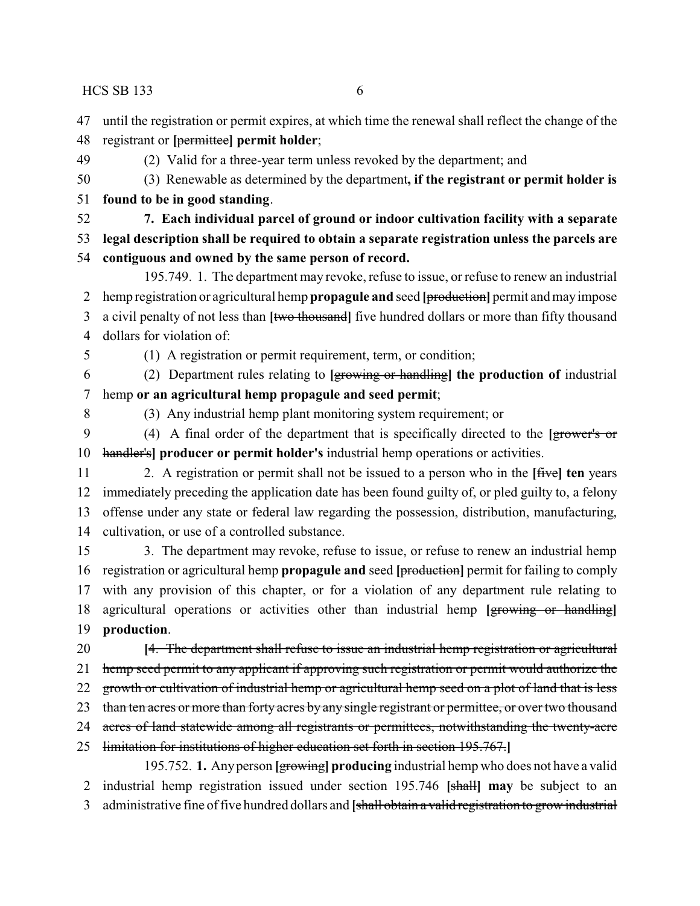until the registration or permit expires, at which time the renewal shall reflect the change of the

- registrant or **[**permittee**] permit holder**;
- (2) Valid for a three-year term unless revoked by the department; and
- (3) Renewable as determined by the department**, if the registrant or permit holder is found to be in good standing**.
- **7. Each individual parcel of ground or indoor cultivation facility with a separate legal description shall be required to obtain a separate registration unless the parcels are**
- **contiguous and owned by the same person of record.**
- 195.749. 1. The department may revoke, refuse to issue, or refuse to renew an industrial hemp registration or agricultural hemp **propagule and** seed **[**production**]** permit and mayimpose a civil penalty of not less than **[**two thousand**]** five hundred dollars or more than fifty thousand dollars for violation of:
- 

(1) A registration or permit requirement, term, or condition;

 (2) Department rules relating to **[**growing or handling**] the production of** industrial hemp **or an agricultural hemp propagule and seed permit**;

(3) Any industrial hemp plant monitoring system requirement; or

 (4) A final order of the department that is specifically directed to the **[**grower's or handler's**] producer or permit holder's** industrial hemp operations or activities.

 2. A registration or permit shall not be issued to a person who in the **[**five**] ten** years immediately preceding the application date has been found guilty of, or pled guilty to, a felony offense under any state or federal law regarding the possession, distribution, manufacturing, cultivation, or use of a controlled substance.

 3. The department may revoke, refuse to issue, or refuse to renew an industrial hemp registration or agricultural hemp **propagule and** seed **[**production**]** permit for failing to comply with any provision of this chapter, or for a violation of any department rule relating to agricultural operations or activities other than industrial hemp **[**growing or handling**] production**.

 **[**4. The department shall refuse to issue an industrial hemp registration or agricultural hemp seed permit to any applicant if approving such registration or permit would authorize the 22 growth or cultivation of industrial hemp or agricultural hemp seed on a plot of land that is less 23 than ten acres or more than forty acres by any single registrant or permittee, or over two thousand 24 acres of land statewide among all registrants or permittees, notwithstanding the twenty-acre limitation for institutions of higher education set forth in section 195.767.**]**

195.752. **1.** Anyperson **[**growing**] producing** industrial hemp who does not have a valid industrial hemp registration issued under section 195.746 **[**shall**] may** be subject to an administrative fine of five hundred dollars and **[**shall obtain a valid registration to grow industrial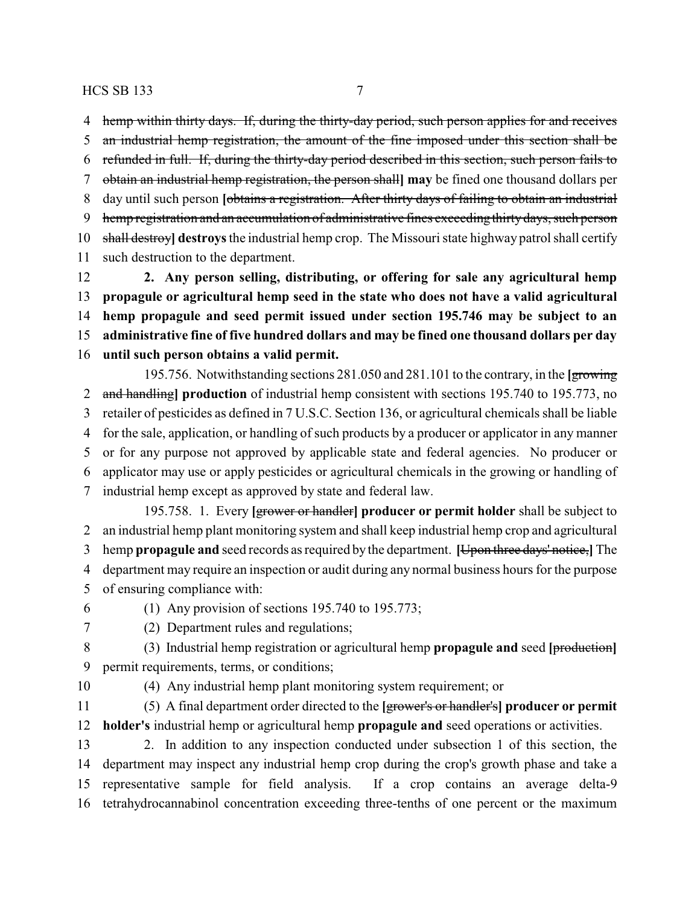hemp within thirty days. If, during the thirty-day period, such person applies for and receives

 an industrial hemp registration, the amount of the fine imposed under this section shall be refunded in full. If, during the thirty-day period described in this section, such person fails to

 obtain an industrial hemp registration, the person shall**] may** be fined one thousand dollars per day until such person **[**obtains a registration. After thirty days of failing to obtain an industrial

9 hemp registration and an accumulation of administrative fines exceeding thirty days, such person

shall destroy**] destroys**the industrial hemp crop. The Missouri state highway patrol shall certify

such destruction to the department.

 **2. Any person selling, distributing, or offering for sale any agricultural hemp propagule or agricultural hemp seed in the state who does not have a valid agricultural hemp propagule and seed permit issued under section 195.746 may be subject to an administrative fine of five hundred dollars and may be fined one thousand dollars per day until such person obtains a valid permit.**

195.756. Notwithstanding sections 281.050 and 281.101 to the contrary, in the **[**growing and handling**] production** of industrial hemp consistent with sections 195.740 to 195.773, no retailer of pesticides as defined in 7 U.S.C. Section 136, or agricultural chemicals shall be liable for the sale, application, or handling of such products by a producer or applicator in any manner or for any purpose not approved by applicable state and federal agencies. No producer or applicator may use or apply pesticides or agricultural chemicals in the growing or handling of industrial hemp except as approved by state and federal law. 195.758. 1. Every **[**grower or handler**] producer or permit holder** shall be subject to

 an industrial hemp plant monitoring system and shall keep industrial hemp crop and agricultural hemp **propagule and** seed records as required by the department. **[**Upon three days' notice,**]** The department may require an inspection or audit during any normal business hours for the purpose of ensuring compliance with:

- (1) Any provision of sections 195.740 to 195.773;
- 

(2) Department rules and regulations;

 (3) Industrial hemp registration or agricultural hemp **propagule and** seed **[**production**]** permit requirements, terms, or conditions;

(4) Any industrial hemp plant monitoring system requirement; or

 (5) A final department order directed to the **[**grower's or handler's**] producer or permit holder's** industrial hemp or agricultural hemp **propagule and** seed operations or activities.

 2. In addition to any inspection conducted under subsection 1 of this section, the department may inspect any industrial hemp crop during the crop's growth phase and take a representative sample for field analysis. If a crop contains an average delta-9 tetrahydrocannabinol concentration exceeding three-tenths of one percent or the maximum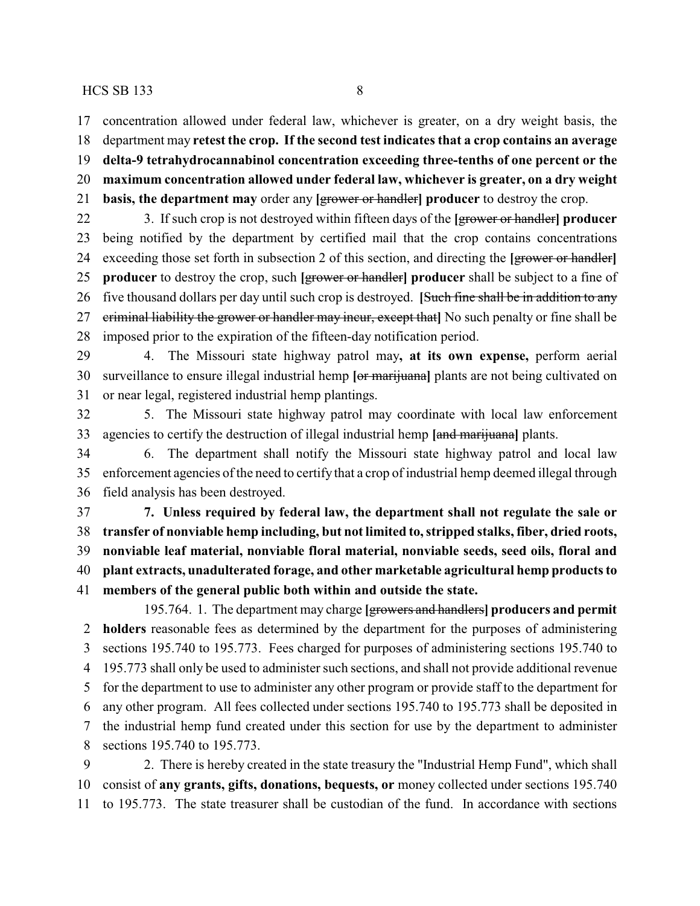concentration allowed under federal law, whichever is greater, on a dry weight basis, the

department may **retest the crop. If the second test indicates that a crop contains an average**

**delta-9 tetrahydrocannabinol concentration exceeding three-tenths of one percent or the**

- **maximum concentration allowed under federal law, whichever is greater, on a dry weight**
- **basis, the department may** order any **[**grower or handler**] producer** to destroy the crop.

 3. If such crop is not destroyed within fifteen days of the **[**grower or handler**] producer** being notified by the department by certified mail that the crop contains concentrations exceeding those set forth in subsection 2 of this section, and directing the **[**grower or handler**] producer** to destroy the crop, such **[**grower or handler**] producer** shall be subject to a fine of five thousand dollars per day until such crop is destroyed. **[**Such fine shall be in addition to any criminal liability the grower or handler may incur, except that**]** No such penalty or fine shall be imposed prior to the expiration of the fifteen-day notification period.

 4. The Missouri state highway patrol may**, at its own expense,** perform aerial surveillance to ensure illegal industrial hemp **[**or marijuana**]** plants are not being cultivated on or near legal, registered industrial hemp plantings.

 5. The Missouri state highway patrol may coordinate with local law enforcement agencies to certify the destruction of illegal industrial hemp **[**and marijuana**]** plants.

 6. The department shall notify the Missouri state highway patrol and local law enforcement agencies of the need to certify that a crop of industrial hemp deemed illegal through field analysis has been destroyed.

 **7. Unless required by federal law, the department shall not regulate the sale or transfer of nonviable hemp including, but not limited to, stripped stalks, fiber, dried roots, nonviable leaf material, nonviable floral material, nonviable seeds, seed oils, floral and plant extracts, unadulterated forage, and other marketable agricultural hemp products to members of the general public both within and outside the state.**

195.764. 1. The department may charge **[**growers and handlers**] producers and permit holders** reasonable fees as determined by the department for the purposes of administering sections 195.740 to 195.773. Fees charged for purposes of administering sections 195.740 to 195.773 shall only be used to administer such sections, and shall not provide additional revenue for the department to use to administer any other program or provide staff to the department for any other program. All fees collected under sections 195.740 to 195.773 shall be deposited in the industrial hemp fund created under this section for use by the department to administer sections 195.740 to 195.773.

 2. There is hereby created in the state treasury the "Industrial Hemp Fund", which shall consist of **any grants, gifts, donations, bequests, or** money collected under sections 195.740 to 195.773. The state treasurer shall be custodian of the fund. In accordance with sections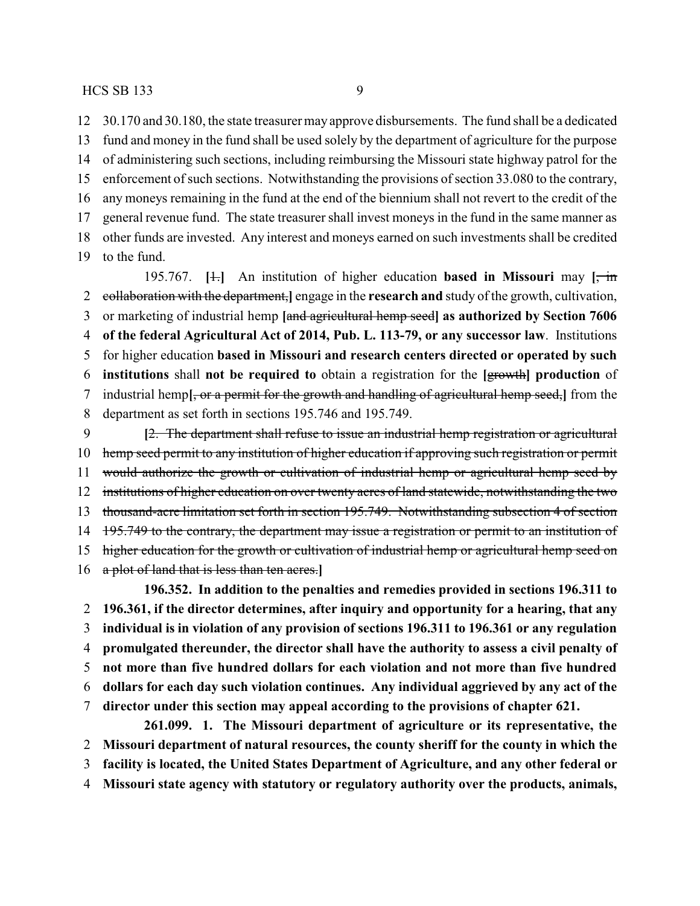30.170 and 30.180, the state treasurer mayapprove disbursements. The fund shall be a dedicated fund and money in the fund shall be used solely by the department of agriculture for the purpose of administering such sections, including reimbursing the Missouri state highway patrol for the enforcement of such sections. Notwithstanding the provisions of section 33.080 to the contrary,

 any moneys remaining in the fund at the end of the biennium shall not revert to the credit of the general revenue fund. The state treasurer shall invest moneys in the fund in the same manner as other funds are invested. Any interest and moneys earned on such investments shall be credited

to the fund.

195.767. **[**1.**]** An institution of higher education **based in Missouri** may **[**, in collaboration with the department,**]** engage in the **research and** study of the growth, cultivation, or marketing of industrial hemp **[**and agricultural hemp seed**] as authorized by Section 7606 of the federal Agricultural Act of 2014, Pub. L. 113-79, or any successor law**. Institutions for higher education **based in Missouri and research centers directed or operated by such institutions** shall **not be required to** obtain a registration for the **[**growth**] production** of industrial hemp**[**, or a permit for the growth and handling of agricultural hemp seed,**]** from the department as set forth in sections 195.746 and 195.749. **[**2. The department shall refuse to issue an industrial hemp registration or agricultural

10 hemp seed permit to any institution of higher education if approving such registration or permit 11 would authorize the growth or cultivation of industrial hemp or agricultural hemp seed by 12 institutions of higher education on over twenty acres of land statewide, notwithstanding the two thousand-acre limitation set forth in section 195.749. Notwithstanding subsection 4 of section 14 195.749 to the contrary, the department may issue a registration or permit to an institution of 15 higher education for the growth or cultivation of industrial hemp or agricultural hemp seed on a plot of land that is less than ten acres.**]**

**196.352. In addition to the penalties and remedies provided in sections 196.311 to 196.361, if the director determines, after inquiry and opportunity for a hearing, that any individual is in violation of any provision of sections 196.311 to 196.361 or any regulation promulgated thereunder, the director shall have the authority to assess a civil penalty of not more than five hundred dollars for each violation and not more than five hundred dollars for each day such violation continues. Any individual aggrieved by any act of the director under this section may appeal according to the provisions of chapter 621.**

**261.099. 1. The Missouri department of agriculture or its representative, the Missouri department of natural resources, the county sheriff for the county in which the facility is located, the United States Department of Agriculture, and any other federal or Missouri state agency with statutory or regulatory authority over the products, animals,**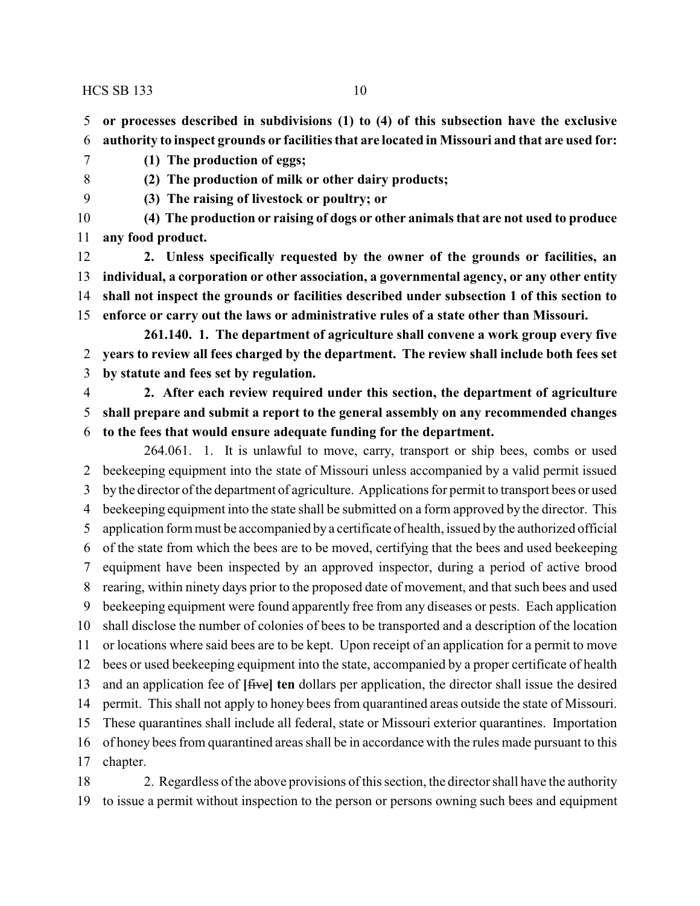**or processes described in subdivisions (1) to (4) of this subsection have the exclusive authority to inspect grounds or facilities that are located in Missouri and that are used for:**

- **(1) The production of eggs;**
- 

**(2) The production of milk or other dairy products;**

**(3) The raising of livestock or poultry; or**

 **(4) The production or raising of dogs or other animals that are not used to produce any food product.**

 **2. Unless specifically requested by the owner of the grounds or facilities, an individual, a corporation or other association, a governmental agency, or any other entity shall not inspect the grounds or facilities described under subsection 1 of this section to enforce or carry out the laws or administrative rules of a state other than Missouri.**

**261.140. 1. The department of agriculture shall convene a work group every five years to review all fees charged by the department. The review shall include both fees set by statute and fees set by regulation.**

 **2. After each review required under this section, the department of agriculture shall prepare and submit a report to the general assembly on any recommended changes to the fees that would ensure adequate funding for the department.**

264.061. 1. It is unlawful to move, carry, transport or ship bees, combs or used beekeeping equipment into the state of Missouri unless accompanied by a valid permit issued by the director of the department of agriculture. Applications for permit to transport bees or used beekeeping equipment into the state shall be submitted on a form approved by the director. This application form must be accompanied by a certificate of health, issued by the authorized official of the state from which the bees are to be moved, certifying that the bees and used beekeeping equipment have been inspected by an approved inspector, during a period of active brood rearing, within ninety days prior to the proposed date of movement, and that such bees and used beekeeping equipment were found apparently free from any diseases or pests. Each application shall disclose the number of colonies of bees to be transported and a description of the location or locations where said bees are to be kept. Upon receipt of an application for a permit to move bees or used beekeeping equipment into the state, accompanied by a proper certificate of health and an application fee of **[**five**] ten** dollars per application, the director shall issue the desired permit. This shall not apply to honey bees from quarantined areas outside the state of Missouri. These quarantines shall include all federal, state or Missouri exterior quarantines. Importation of honey bees from quarantined areas shall be in accordance with the rules made pursuant to this chapter.

 2. Regardless of the above provisions of this section, the director shall have the authority to issue a permit without inspection to the person or persons owning such bees and equipment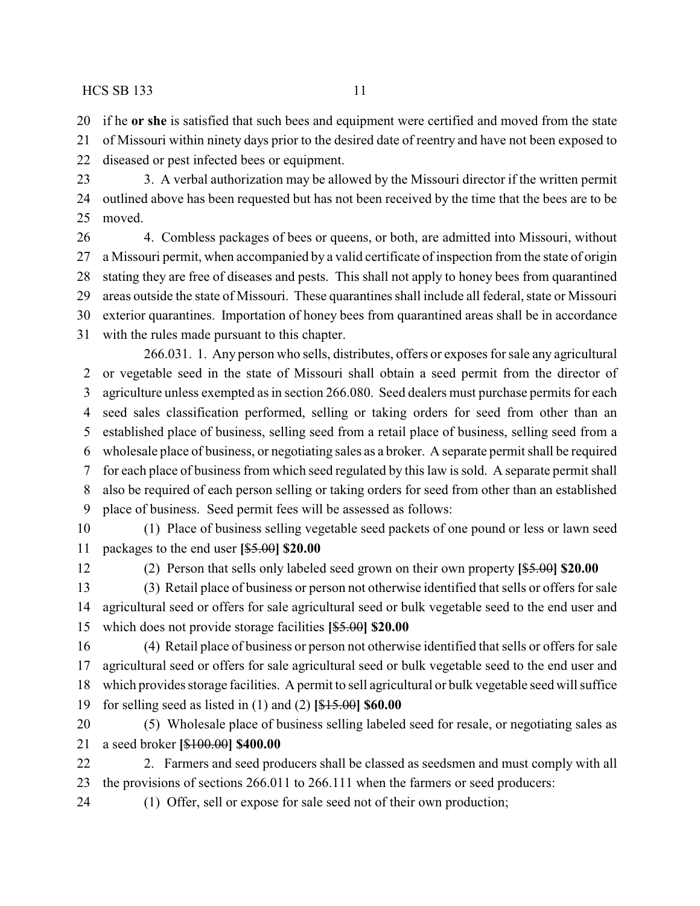if he **or she** is satisfied that such bees and equipment were certified and moved from the state

of Missouri within ninety days prior to the desired date of reentry and have not been exposed to

diseased or pest infected bees or equipment.

 3. A verbal authorization may be allowed by the Missouri director if the written permit outlined above has been requested but has not been received by the time that the bees are to be moved.

 4. Combless packages of bees or queens, or both, are admitted into Missouri, without a Missouri permit, when accompanied by a valid certificate of inspection from the state of origin stating they are free of diseases and pests. This shall not apply to honey bees from quarantined areas outside the state of Missouri. These quarantines shall include all federal, state or Missouri exterior quarantines. Importation of honey bees from quarantined areas shall be in accordance with the rules made pursuant to this chapter.

266.031. 1. Any person who sells, distributes, offers or exposes for sale any agricultural or vegetable seed in the state of Missouri shall obtain a seed permit from the director of agriculture unless exempted as in section 266.080. Seed dealers must purchase permits for each seed sales classification performed, selling or taking orders for seed from other than an established place of business, selling seed from a retail place of business, selling seed from a wholesale place of business, or negotiating sales as a broker. A separate permit shall be required for each place of business from which seed regulated by this law is sold. A separate permit shall also be required of each person selling or taking orders for seed from other than an established place of business. Seed permit fees will be assessed as follows: (1) Place of business selling vegetable seed packets of one pound or less or lawn seed

packages to the end user **[**\$5.00**] \$20.00**

(2) Person that sells only labeled seed grown on their own property **[**\$5.00**] \$20.00**

 (3) Retail place of business or person not otherwise identified that sells or offers for sale agricultural seed or offers for sale agricultural seed or bulk vegetable seed to the end user and which does not provide storage facilities **[**\$5.00**] \$20.00**

 (4) Retail place of business or person not otherwise identified that sells or offers for sale agricultural seed or offers for sale agricultural seed or bulk vegetable seed to the end user and which provides storage facilities. A permit to sell agricultural or bulk vegetable seed will suffice for selling seed as listed in (1) and (2) **[**\$15.00**] \$60.00**

 (5) Wholesale place of business selling labeled seed for resale, or negotiating sales as a seed broker **[**\$100.00**] \$400.00**

22 2. Farmers and seed producers shall be classed as seedsmen and must comply with all the provisions of sections 266.011 to 266.111 when the farmers or seed producers:

(1) Offer, sell or expose for sale seed not of their own production;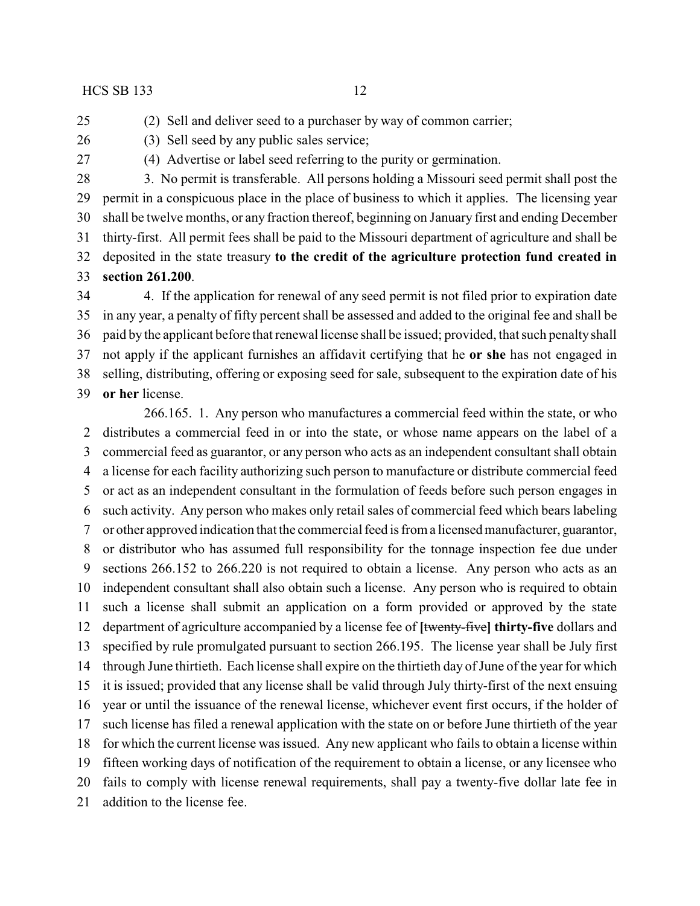(2) Sell and deliver seed to a purchaser by way of common carrier;

(3) Sell seed by any public sales service;

(4) Advertise or label seed referring to the purity or germination.

 3. No permit is transferable. All persons holding a Missouri seed permit shall post the permit in a conspicuous place in the place of business to which it applies. The licensing year shall be twelve months, or any fraction thereof, beginning on January first and ending December thirty-first. All permit fees shall be paid to the Missouri department of agriculture and shall be deposited in the state treasury **to the credit of the agriculture protection fund created in section 261.200**.

 4. If the application for renewal of any seed permit is not filed prior to expiration date in any year, a penalty of fifty percent shall be assessed and added to the original fee and shall be paid by the applicant before that renewal license shall be issued; provided, that such penalty shall not apply if the applicant furnishes an affidavit certifying that he **or she** has not engaged in selling, distributing, offering or exposing seed for sale, subsequent to the expiration date of his **or her** license.

266.165. 1. Any person who manufactures a commercial feed within the state, or who distributes a commercial feed in or into the state, or whose name appears on the label of a commercial feed as guarantor, or any person who acts as an independent consultant shall obtain a license for each facility authorizing such person to manufacture or distribute commercial feed or act as an independent consultant in the formulation of feeds before such person engages in such activity. Any person who makes only retail sales of commercial feed which bears labeling or other approved indication that the commercial feed is from a licensed manufacturer, guarantor, or distributor who has assumed full responsibility for the tonnage inspection fee due under sections 266.152 to 266.220 is not required to obtain a license. Any person who acts as an independent consultant shall also obtain such a license. Any person who is required to obtain such a license shall submit an application on a form provided or approved by the state department of agriculture accompanied by a license fee of **[**twenty-five**] thirty-five** dollars and specified by rule promulgated pursuant to section 266.195. The license year shall be July first through June thirtieth. Each license shall expire on the thirtieth day of June of the year for which it is issued; provided that any license shall be valid through July thirty-first of the next ensuing year or until the issuance of the renewal license, whichever event first occurs, if the holder of such license has filed a renewal application with the state on or before June thirtieth of the year for which the current license was issued. Any new applicant who fails to obtain a license within fifteen working days of notification of the requirement to obtain a license, or any licensee who fails to comply with license renewal requirements, shall pay a twenty-five dollar late fee in addition to the license fee.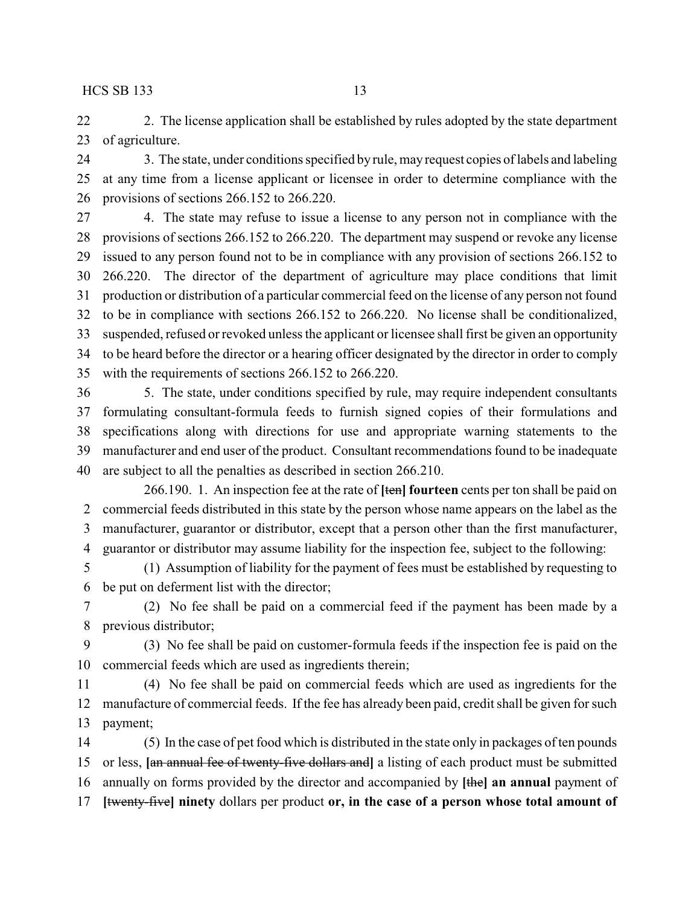22 2. The license application shall be established by rules adopted by the state department of agriculture.

24 3. The state, under conditions specified by rule, may request copies of labels and labeling at any time from a license applicant or licensee in order to determine compliance with the provisions of sections 266.152 to 266.220.

 4. The state may refuse to issue a license to any person not in compliance with the provisions of sections 266.152 to 266.220. The department may suspend or revoke any license issued to any person found not to be in compliance with any provision of sections 266.152 to 266.220. The director of the department of agriculture may place conditions that limit production or distribution of a particular commercial feed on the license of any person not found to be in compliance with sections 266.152 to 266.220. No license shall be conditionalized, suspended, refused or revoked unless the applicant or licensee shall first be given an opportunity to be heard before the director or a hearing officer designated by the director in order to comply with the requirements of sections 266.152 to 266.220.

 5. The state, under conditions specified by rule, may require independent consultants formulating consultant-formula feeds to furnish signed copies of their formulations and specifications along with directions for use and appropriate warning statements to the manufacturer and end user of the product. Consultant recommendations found to be inadequate are subject to all the penalties as described in section 266.210.

266.190. 1. An inspection fee at the rate of **[**ten**] fourteen** cents per ton shall be paid on commercial feeds distributed in this state by the person whose name appears on the label as the manufacturer, guarantor or distributor, except that a person other than the first manufacturer, guarantor or distributor may assume liability for the inspection fee, subject to the following:

 (1) Assumption of liability for the payment of fees must be established by requesting to be put on deferment list with the director;

 (2) No fee shall be paid on a commercial feed if the payment has been made by a previous distributor;

 (3) No fee shall be paid on customer-formula feeds if the inspection fee is paid on the commercial feeds which are used as ingredients therein;

 (4) No fee shall be paid on commercial feeds which are used as ingredients for the manufacture of commercial feeds. If the fee has already been paid, credit shall be given for such payment;

 (5) In the case of pet food which is distributed in the state only in packages of ten pounds or less, **[**an annual fee of twenty-five dollars and**]** a listing of each product must be submitted annually on forms provided by the director and accompanied by **[**the**] an annual** payment of **[**twenty-five**] ninety** dollars per product **or, in the case of a person whose total amount of**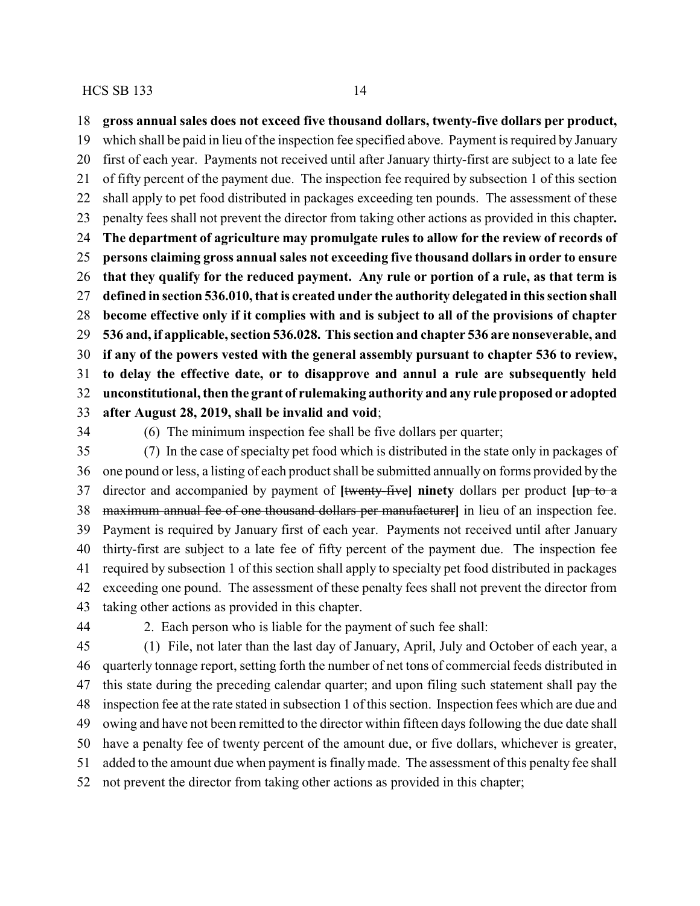**gross annual sales does not exceed five thousand dollars, twenty-five dollars per product,**

 which shall be paid in lieu of the inspection fee specified above. Payment is required by January first of each year. Payments not received until after January thirty-first are subject to a late fee of fifty percent of the payment due. The inspection fee required by subsection 1 of this section shall apply to pet food distributed in packages exceeding ten pounds. The assessment of these penalty fees shall not prevent the director from taking other actions as provided in this chapter**. The department of agriculture may promulgate rules to allow for the review of records of persons claiming gross annual sales not exceeding five thousand dollars in order to ensure that they qualify for the reduced payment. Any rule or portion of a rule, as that term is defined in section 536.010, that is created under the authority delegated in this section shall become effective only if it complies with and is subject to all of the provisions of chapter 536 and, if applicable, section 536.028. This section and chapter 536 are nonseverable, and if any of the powers vested with the general assembly pursuant to chapter 536 to review, to delay the effective date, or to disapprove and annul a rule are subsequently held unconstitutional, then the grant of rulemaking authority and any rule proposed or adopted after August 28, 2019, shall be invalid and void**;

(6) The minimum inspection fee shall be five dollars per quarter;

 (7) In the case of specialty pet food which is distributed in the state only in packages of one pound or less, a listing of each product shall be submitted annually on forms provided by the director and accompanied by payment of **[**twenty-five**] ninety** dollars per product **[**up to a maximum annual fee of one thousand dollars per manufacturer**]** in lieu of an inspection fee. Payment is required by January first of each year. Payments not received until after January thirty-first are subject to a late fee of fifty percent of the payment due. The inspection fee required by subsection 1 of this section shall apply to specialty pet food distributed in packages exceeding one pound. The assessment of these penalty fees shall not prevent the director from taking other actions as provided in this chapter.

2. Each person who is liable for the payment of such fee shall:

 (1) File, not later than the last day of January, April, July and October of each year, a quarterly tonnage report, setting forth the number of net tons of commercial feeds distributed in this state during the preceding calendar quarter; and upon filing such statement shall pay the inspection fee at the rate stated in subsection 1 of this section. Inspection fees which are due and owing and have not been remitted to the director within fifteen days following the due date shall have a penalty fee of twenty percent of the amount due, or five dollars, whichever is greater, added to the amount due when payment is finally made. The assessment of this penalty fee shall not prevent the director from taking other actions as provided in this chapter;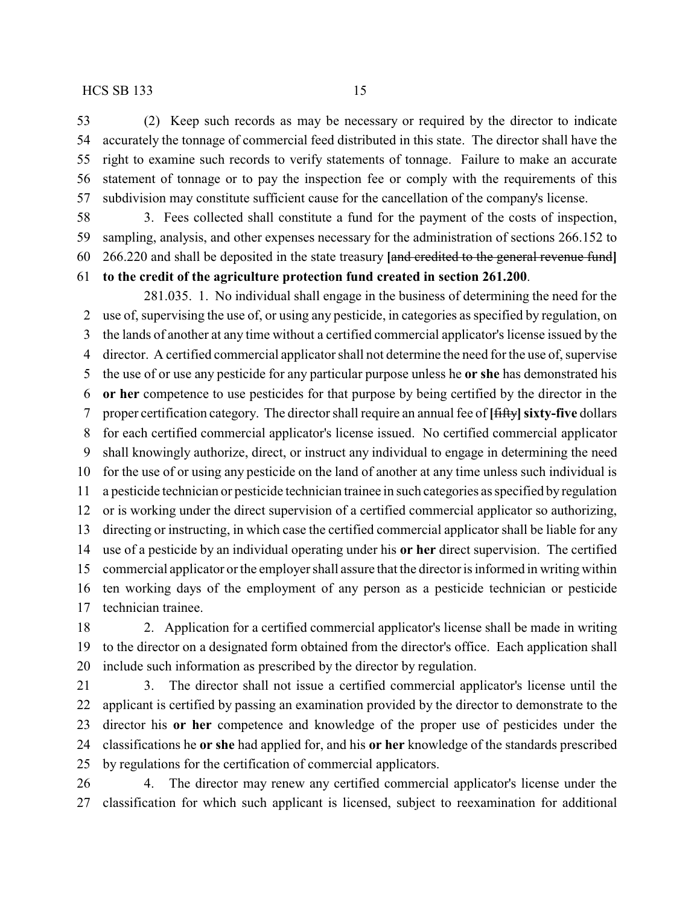(2) Keep such records as may be necessary or required by the director to indicate accurately the tonnage of commercial feed distributed in this state. The director shall have the right to examine such records to verify statements of tonnage. Failure to make an accurate statement of tonnage or to pay the inspection fee or comply with the requirements of this subdivision may constitute sufficient cause for the cancellation of the company's license.

 3. Fees collected shall constitute a fund for the payment of the costs of inspection, sampling, analysis, and other expenses necessary for the administration of sections 266.152 to 266.220 and shall be deposited in the state treasury **[**and credited to the general revenue fund**] to the credit of the agriculture protection fund created in section 261.200**.

281.035. 1. No individual shall engage in the business of determining the need for the use of, supervising the use of, or using any pesticide, in categories as specified by regulation, on the lands of another at any time without a certified commercial applicator's license issued by the director. A certified commercial applicator shall not determine the need for the use of, supervise the use of or use any pesticide for any particular purpose unless he **or she** has demonstrated his **or her** competence to use pesticides for that purpose by being certified by the director in the 7 proper certification category. The director shall require an annual fee of [<del>fifty</del>] sixty-five dollars for each certified commercial applicator's license issued. No certified commercial applicator shall knowingly authorize, direct, or instruct any individual to engage in determining the need for the use of or using any pesticide on the land of another at any time unless such individual is a pesticide technician or pesticide technician trainee in such categories as specified by regulation or is working under the direct supervision of a certified commercial applicator so authorizing, directing or instructing, in which case the certified commercial applicator shall be liable for any use of a pesticide by an individual operating under his **or her** direct supervision. The certified commercial applicator or the employer shall assure that the director is informed in writing within ten working days of the employment of any person as a pesticide technician or pesticide technician trainee.

 2. Application for a certified commercial applicator's license shall be made in writing to the director on a designated form obtained from the director's office. Each application shall include such information as prescribed by the director by regulation.

 3. The director shall not issue a certified commercial applicator's license until the applicant is certified by passing an examination provided by the director to demonstrate to the director his **or her** competence and knowledge of the proper use of pesticides under the classifications he **or she** had applied for, and his **or her** knowledge of the standards prescribed by regulations for the certification of commercial applicators.

 4. The director may renew any certified commercial applicator's license under the classification for which such applicant is licensed, subject to reexamination for additional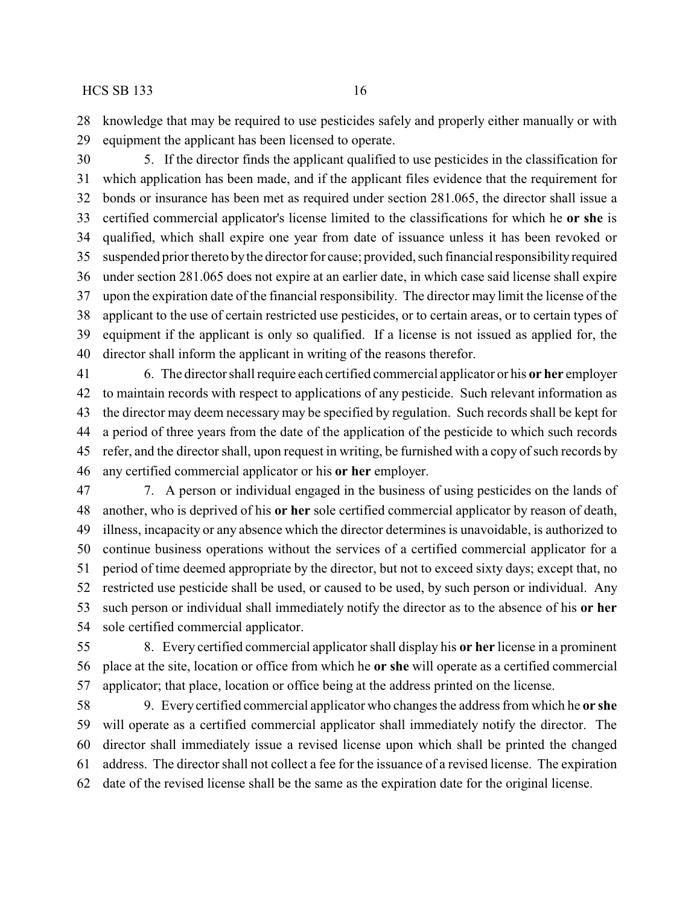knowledge that may be required to use pesticides safely and properly either manually or with equipment the applicant has been licensed to operate.

 5. If the director finds the applicant qualified to use pesticides in the classification for which application has been made, and if the applicant files evidence that the requirement for bonds or insurance has been met as required under section 281.065, the director shall issue a certified commercial applicator's license limited to the classifications for which he **or she** is qualified, which shall expire one year from date of issuance unless it has been revoked or suspended prior thereto bythe director for cause; provided, such financial responsibility required under section 281.065 does not expire at an earlier date, in which case said license shall expire upon the expiration date of the financial responsibility. The director may limit the license of the applicant to the use of certain restricted use pesticides, or to certain areas, or to certain types of equipment if the applicant is only so qualified. If a license is not issued as applied for, the director shall inform the applicant in writing of the reasons therefor.

 6. The director shall require each certified commercial applicator or his **or her** employer to maintain records with respect to applications of any pesticide. Such relevant information as the director may deem necessary may be specified by regulation. Such records shall be kept for a period of three years from the date of the application of the pesticide to which such records refer, and the director shall, upon request in writing, be furnished with a copy of such records by any certified commercial applicator or his **or her** employer.

 7. A person or individual engaged in the business of using pesticides on the lands of another, who is deprived of his **or her** sole certified commercial applicator by reason of death, illness, incapacity or any absence which the director determines is unavoidable, is authorized to continue business operations without the services of a certified commercial applicator for a period of time deemed appropriate by the director, but not to exceed sixty days; except that, no restricted use pesticide shall be used, or caused to be used, by such person or individual. Any such person or individual shall immediately notify the director as to the absence of his **or her** sole certified commercial applicator.

 8. Every certified commercial applicator shall display his **or her** license in a prominent place at the site, location or office from which he **or she** will operate as a certified commercial applicator; that place, location or office being at the address printed on the license.

 9. Every certified commercial applicator who changes the address from which he **or she** will operate as a certified commercial applicator shall immediately notify the director. The director shall immediately issue a revised license upon which shall be printed the changed address. The director shall not collect a fee for the issuance of a revised license. The expiration date of the revised license shall be the same as the expiration date for the original license.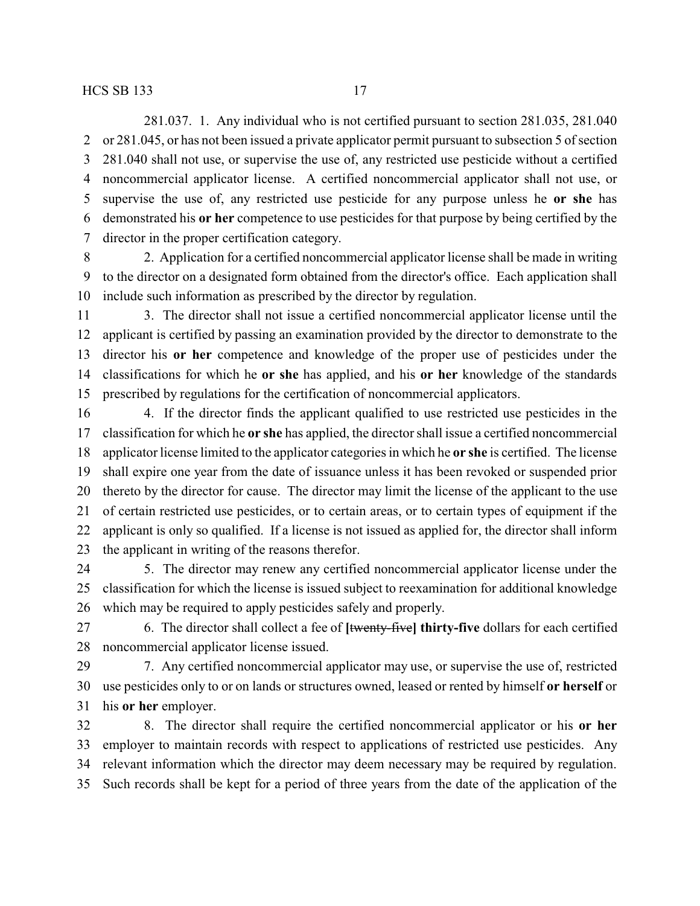281.037. 1. Any individual who is not certified pursuant to section 281.035, 281.040 or 281.045, or has not been issued a private applicator permit pursuant to subsection 5 of section 281.040 shall not use, or supervise the use of, any restricted use pesticide without a certified noncommercial applicator license. A certified noncommercial applicator shall not use, or supervise the use of, any restricted use pesticide for any purpose unless he **or she** has demonstrated his **or her** competence to use pesticides for that purpose by being certified by the director in the proper certification category.

 2. Application for a certified noncommercial applicator license shall be made in writing to the director on a designated form obtained from the director's office. Each application shall include such information as prescribed by the director by regulation.

 3. The director shall not issue a certified noncommercial applicator license until the applicant is certified by passing an examination provided by the director to demonstrate to the director his **or her** competence and knowledge of the proper use of pesticides under the classifications for which he **or she** has applied, and his **or her** knowledge of the standards prescribed by regulations for the certification of noncommercial applicators.

 4. If the director finds the applicant qualified to use restricted use pesticides in the classification for which he **or she** has applied, the director shall issue a certified noncommercial applicator license limited to the applicator categories in which he **or she** is certified. The license shall expire one year from the date of issuance unless it has been revoked or suspended prior thereto by the director for cause. The director may limit the license of the applicant to the use of certain restricted use pesticides, or to certain areas, or to certain types of equipment if the applicant is only so qualified. If a license is not issued as applied for, the director shall inform the applicant in writing of the reasons therefor.

 5. The director may renew any certified noncommercial applicator license under the classification for which the license is issued subject to reexamination for additional knowledge which may be required to apply pesticides safely and properly.

 6. The director shall collect a fee of **[**twenty-five**] thirty-five** dollars for each certified noncommercial applicator license issued.

 7. Any certified noncommercial applicator may use, or supervise the use of, restricted use pesticides only to or on lands or structures owned, leased or rented by himself **or herself** or his **or her** employer.

 8. The director shall require the certified noncommercial applicator or his **or her** employer to maintain records with respect to applications of restricted use pesticides. Any relevant information which the director may deem necessary may be required by regulation. Such records shall be kept for a period of three years from the date of the application of the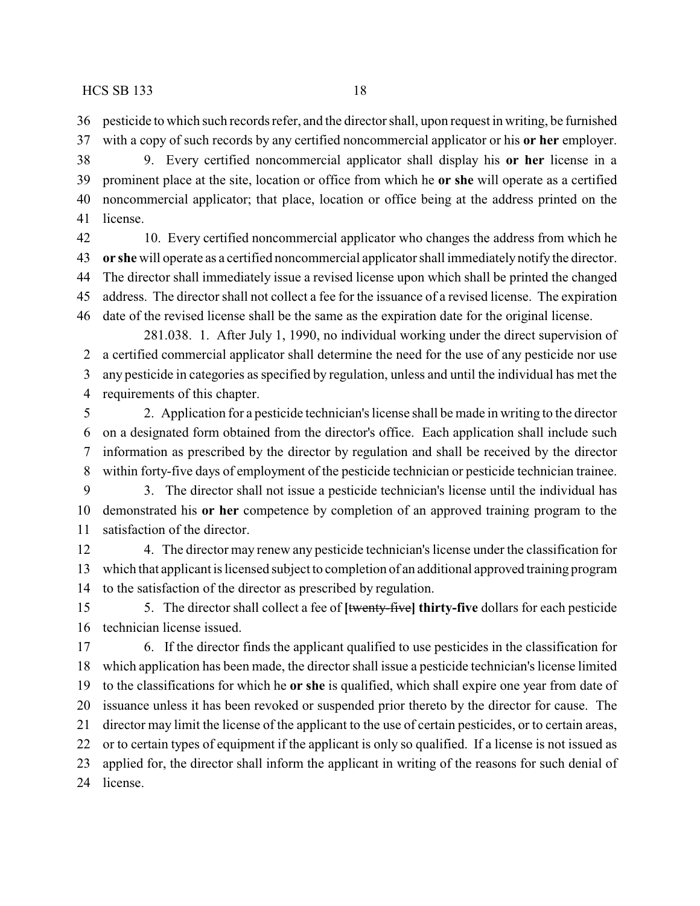pesticide to which such records refer, and the director shall, upon request in writing, be furnished

with a copy of such records by any certified noncommercial applicator or his **or her** employer.

 9. Every certified noncommercial applicator shall display his **or her** license in a prominent place at the site, location or office from which he **or she** will operate as a certified noncommercial applicator; that place, location or office being at the address printed on the license.

 10. Every certified noncommercial applicator who changes the address from which he **or she** will operate as a certified noncommercial applicator shall immediately notify the director. The director shall immediately issue a revised license upon which shall be printed the changed address. The director shall not collect a fee for the issuance of a revised license. The expiration date of the revised license shall be the same as the expiration date for the original license.

281.038. 1. After July 1, 1990, no individual working under the direct supervision of a certified commercial applicator shall determine the need for the use of any pesticide nor use any pesticide in categories as specified by regulation, unless and until the individual has met the requirements of this chapter.

 2. Application for a pesticide technician's license shall be made in writing to the director on a designated form obtained from the director's office. Each application shall include such information as prescribed by the director by regulation and shall be received by the director within forty-five days of employment of the pesticide technician or pesticide technician trainee.

 3. The director shall not issue a pesticide technician's license until the individual has demonstrated his **or her** competence by completion of an approved training program to the satisfaction of the director.

 4. The director may renew any pesticide technician's license under the classification for which that applicant is licensed subject to completion of an additional approved training program to the satisfaction of the director as prescribed by regulation.

 5. The director shall collect a fee of **[**twenty-five**] thirty-five** dollars for each pesticide technician license issued.

 6. If the director finds the applicant qualified to use pesticides in the classification for which application has been made, the director shall issue a pesticide technician's license limited to the classifications for which he **or she** is qualified, which shall expire one year from date of issuance unless it has been revoked or suspended prior thereto by the director for cause. The director may limit the license of the applicant to the use of certain pesticides, or to certain areas, or to certain types of equipment if the applicant is only so qualified. If a license is not issued as applied for, the director shall inform the applicant in writing of the reasons for such denial of license.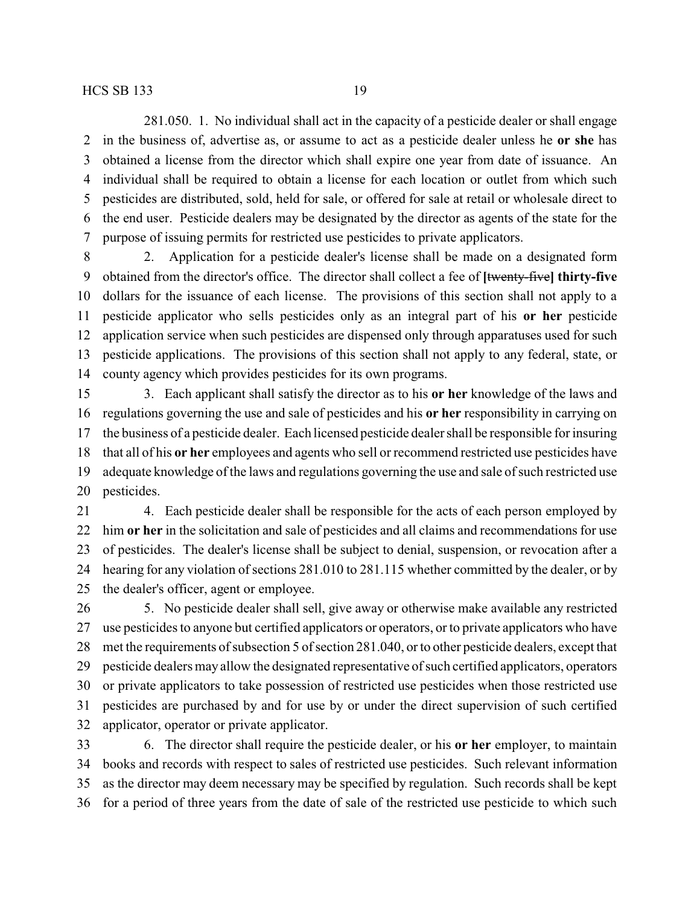281.050. 1. No individual shall act in the capacity of a pesticide dealer or shall engage in the business of, advertise as, or assume to act as a pesticide dealer unless he **or she** has obtained a license from the director which shall expire one year from date of issuance. An individual shall be required to obtain a license for each location or outlet from which such pesticides are distributed, sold, held for sale, or offered for sale at retail or wholesale direct to the end user. Pesticide dealers may be designated by the director as agents of the state for the purpose of issuing permits for restricted use pesticides to private applicators.

 2. Application for a pesticide dealer's license shall be made on a designated form obtained from the director's office. The director shall collect a fee of **[**twenty-five**] thirty-five** dollars for the issuance of each license. The provisions of this section shall not apply to a pesticide applicator who sells pesticides only as an integral part of his **or her** pesticide application service when such pesticides are dispensed only through apparatuses used for such pesticide applications. The provisions of this section shall not apply to any federal, state, or county agency which provides pesticides for its own programs.

 3. Each applicant shall satisfy the director as to his **or her** knowledge of the laws and regulations governing the use and sale of pesticides and his **or her** responsibility in carrying on the business of a pesticide dealer. Each licensed pesticide dealer shall be responsible for insuring that all of his **or her** employees and agents who sell or recommend restricted use pesticides have adequate knowledge of the laws and regulations governing the use and sale of such restricted use pesticides.

 4. Each pesticide dealer shall be responsible for the acts of each person employed by him **or her** in the solicitation and sale of pesticides and all claims and recommendations for use of pesticides. The dealer's license shall be subject to denial, suspension, or revocation after a hearing for any violation of sections 281.010 to 281.115 whether committed by the dealer, or by the dealer's officer, agent or employee.

 5. No pesticide dealer shall sell, give away or otherwise make available any restricted use pesticides to anyone but certified applicators or operators, or to private applicators who have met the requirements of subsection 5 of section 281.040, or to other pesticide dealers, except that pesticide dealers may allow the designated representative of such certified applicators, operators or private applicators to take possession of restricted use pesticides when those restricted use pesticides are purchased by and for use by or under the direct supervision of such certified applicator, operator or private applicator.

 6. The director shall require the pesticide dealer, or his **or her** employer, to maintain books and records with respect to sales of restricted use pesticides. Such relevant information as the director may deem necessary may be specified by regulation. Such records shall be kept for a period of three years from the date of sale of the restricted use pesticide to which such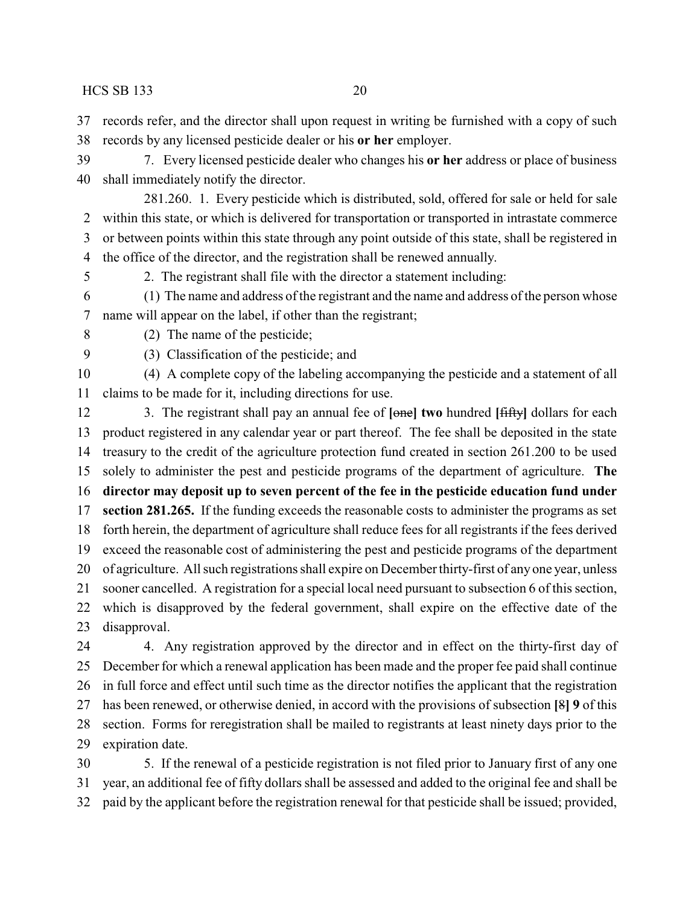records refer, and the director shall upon request in writing be furnished with a copy of such records by any licensed pesticide dealer or his **or her** employer.

 7. Every licensed pesticide dealer who changes his **or her** address or place of business shall immediately notify the director.

281.260. 1. Every pesticide which is distributed, sold, offered for sale or held for sale within this state, or which is delivered for transportation or transported in intrastate commerce or between points within this state through any point outside of this state, shall be registered in the office of the director, and the registration shall be renewed annually.

2. The registrant shall file with the director a statement including:

 (1) The name and address of the registrant and the name and address of the person whose name will appear on the label, if other than the registrant;

(2) The name of the pesticide;

(3) Classification of the pesticide; and

 (4) A complete copy of the labeling accompanying the pesticide and a statement of all claims to be made for it, including directions for use.

 3. The registrant shall pay an annual fee of **[**one**] two** hundred **[**fifty**]** dollars for each product registered in any calendar year or part thereof. The fee shall be deposited in the state treasury to the credit of the agriculture protection fund created in section 261.200 to be used solely to administer the pest and pesticide programs of the department of agriculture. **The director may deposit up to seven percent of the fee in the pesticide education fund under section 281.265.** If the funding exceeds the reasonable costs to administer the programs as set forth herein, the department of agriculture shall reduce fees for all registrants if the fees derived exceed the reasonable cost of administering the pest and pesticide programs of the department of agriculture. All such registrations shall expire on December thirty-first of any one year, unless sooner cancelled. A registration for a special local need pursuant to subsection 6 of this section, which is disapproved by the federal government, shall expire on the effective date of the disapproval.

 4. Any registration approved by the director and in effect on the thirty-first day of December for which a renewal application has been made and the proper fee paid shall continue in full force and effect until such time as the director notifies the applicant that the registration has been renewed, or otherwise denied, in accord with the provisions of subsection **[**8**] 9** of this section. Forms for reregistration shall be mailed to registrants at least ninety days prior to the expiration date.

 5. If the renewal of a pesticide registration is not filed prior to January first of any one year, an additional fee of fifty dollars shall be assessed and added to the original fee and shall be paid by the applicant before the registration renewal for that pesticide shall be issued; provided,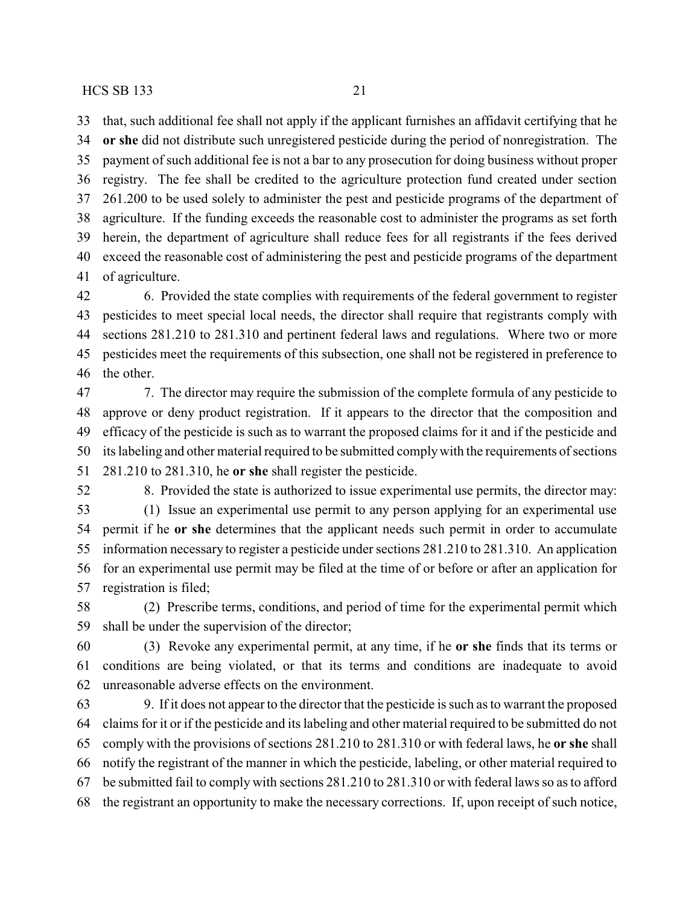that, such additional fee shall not apply if the applicant furnishes an affidavit certifying that he **or she** did not distribute such unregistered pesticide during the period of nonregistration. The payment of such additional fee is not a bar to any prosecution for doing business without proper registry. The fee shall be credited to the agriculture protection fund created under section 261.200 to be used solely to administer the pest and pesticide programs of the department of agriculture. If the funding exceeds the reasonable cost to administer the programs as set forth herein, the department of agriculture shall reduce fees for all registrants if the fees derived exceed the reasonable cost of administering the pest and pesticide programs of the department of agriculture.

 6. Provided the state complies with requirements of the federal government to register pesticides to meet special local needs, the director shall require that registrants comply with sections 281.210 to 281.310 and pertinent federal laws and regulations. Where two or more pesticides meet the requirements of this subsection, one shall not be registered in preference to the other.

 7. The director may require the submission of the complete formula of any pesticide to approve or deny product registration. If it appears to the director that the composition and efficacy of the pesticide is such as to warrant the proposed claims for it and if the pesticide and its labeling and other material required to be submitted complywith the requirements of sections 281.210 to 281.310, he **or she** shall register the pesticide.

8. Provided the state is authorized to issue experimental use permits, the director may:

 (1) Issue an experimental use permit to any person applying for an experimental use permit if he **or she** determines that the applicant needs such permit in order to accumulate information necessary to register a pesticide under sections 281.210 to 281.310. An application for an experimental use permit may be filed at the time of or before or after an application for registration is filed;

 (2) Prescribe terms, conditions, and period of time for the experimental permit which shall be under the supervision of the director;

 (3) Revoke any experimental permit, at any time, if he **or she** finds that its terms or conditions are being violated, or that its terms and conditions are inadequate to avoid unreasonable adverse effects on the environment.

 9. If it does not appear to the director that the pesticide is such as to warrant the proposed claims for it or if the pesticide and its labeling and other material required to be submitted do not comply with the provisions of sections 281.210 to 281.310 or with federal laws, he **or she** shall notify the registrant of the manner in which the pesticide, labeling, or other material required to be submitted fail to comply with sections 281.210 to 281.310 or with federal laws so as to afford the registrant an opportunity to make the necessary corrections. If, upon receipt of such notice,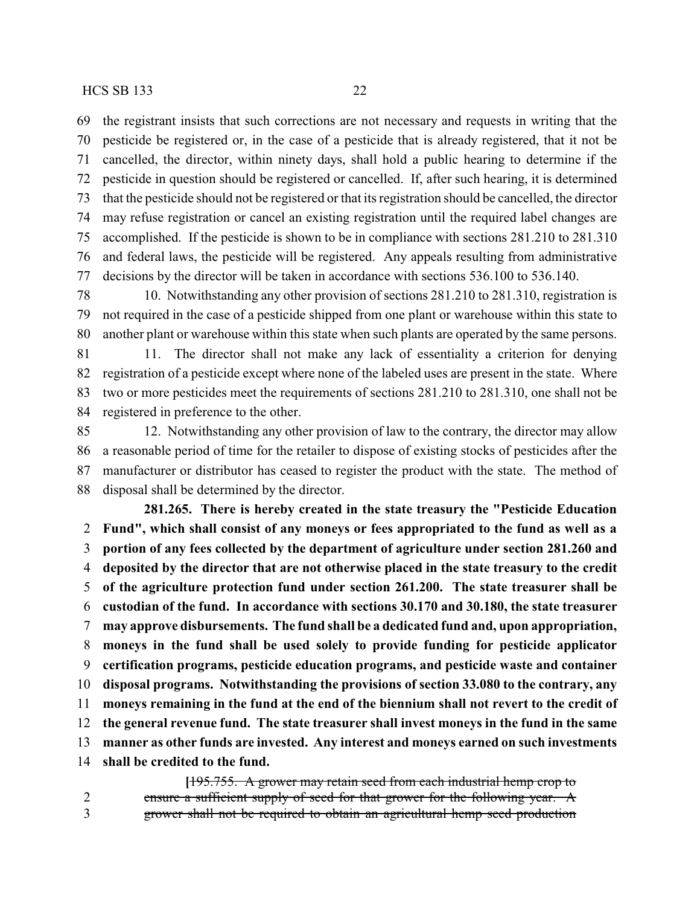the registrant insists that such corrections are not necessary and requests in writing that the pesticide be registered or, in the case of a pesticide that is already registered, that it not be cancelled, the director, within ninety days, shall hold a public hearing to determine if the pesticide in question should be registered or cancelled. If, after such hearing, it is determined that the pesticide should not be registered or that its registration should be cancelled, the director may refuse registration or cancel an existing registration until the required label changes are accomplished. If the pesticide is shown to be in compliance with sections 281.210 to 281.310 and federal laws, the pesticide will be registered. Any appeals resulting from administrative decisions by the director will be taken in accordance with sections 536.100 to 536.140.

 10. Notwithstanding any other provision of sections 281.210 to 281.310, registration is not required in the case of a pesticide shipped from one plant or warehouse within this state to another plant or warehouse within this state when such plants are operated by the same persons.

 11. The director shall not make any lack of essentiality a criterion for denying registration of a pesticide except where none of the labeled uses are present in the state. Where two or more pesticides meet the requirements of sections 281.210 to 281.310, one shall not be registered in preference to the other.

 12. Notwithstanding any other provision of law to the contrary, the director may allow a reasonable period of time for the retailer to dispose of existing stocks of pesticides after the manufacturer or distributor has ceased to register the product with the state. The method of disposal shall be determined by the director.

**281.265. There is hereby created in the state treasury the "Pesticide Education Fund", which shall consist of any moneys or fees appropriated to the fund as well as a portion of any fees collected by the department of agriculture under section 281.260 and deposited by the director that are not otherwise placed in the state treasury to the credit of the agriculture protection fund under section 261.200. The state treasurer shall be custodian of the fund. In accordance with sections 30.170 and 30.180, the state treasurer may approve disbursements. The fund shall be a dedicated fund and, upon appropriation, moneys in the fund shall be used solely to provide funding for pesticide applicator certification programs, pesticide education programs, and pesticide waste and container disposal programs. Notwithstanding the provisions of section 33.080 to the contrary, any moneys remaining in the fund at the end of the biennium shall not revert to the credit of the general revenue fund. The state treasurer shall invest moneys in the fund in the same manner as other funds are invested. Any interest and moneys earned on such investments shall be credited to the fund.**

**[**195.755. A grower may retain seed from each industrial hemp crop to 2 ensure a sufficient supply of seed for that grower for the following year. A grower shall not be required to obtain an agricultural hemp seed production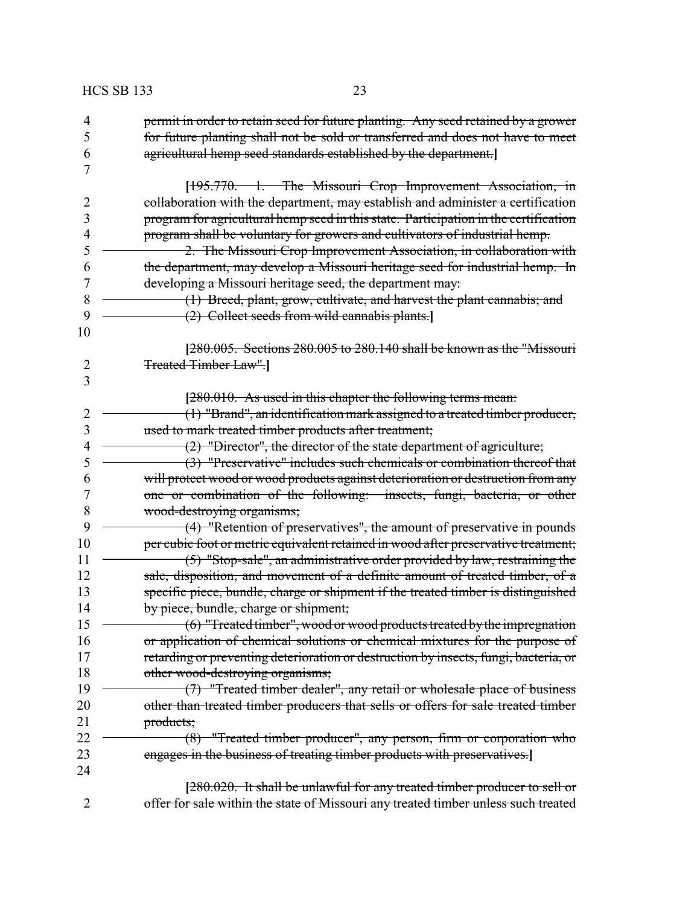| <b>HCS SB 133</b> | 23                                                                                                                                                                   |
|-------------------|----------------------------------------------------------------------------------------------------------------------------------------------------------------------|
| 4                 | permit in order to retain seed for future planting. Any seed retained by a grower                                                                                    |
| 5                 | for future planting shall not be sold or transferred and does not have to meet                                                                                       |
| 6                 | agricultural hemp seed standards established by the department.]                                                                                                     |
| 7                 |                                                                                                                                                                      |
|                   | [195.770. 1. The Missouri Crop Improvement Association, in                                                                                                           |
| $\overline{2}$    | collaboration with the department, may establish and administer a certification                                                                                      |
| 3                 | program for agricultural hemp seed in this state. Participation in the certification                                                                                 |
| 4                 | program shall be voluntary for growers and cultivators of industrial hemp.                                                                                           |
| 5                 | 2. The Missouri Crop Improvement Association, in collaboration with                                                                                                  |
| 6                 | the department, may develop a Missouri heritage seed for industrial hemp. In                                                                                         |
| 7                 | developing a Missouri heritage seed, the department may:                                                                                                             |
| 8                 | (1) Breed, plant, grow, cultivate, and harvest the plant cannabis; and                                                                                               |
| 9                 | (2) Collect seeds from wild cannabis plants.                                                                                                                         |
| 10                |                                                                                                                                                                      |
|                   | [280.005. Sections 280.005 to 280.140 shall be known as the "Missouri                                                                                                |
| $\overline{2}$    | <b>Treated Timber Law".</b>                                                                                                                                          |
| 3                 |                                                                                                                                                                      |
|                   | $[280.010.$ As used in this chapter the following terms mean:                                                                                                        |
| $\overline{2}$    | (1) "Brand", an identification mark assigned to a treated timber producer,                                                                                           |
| 3                 | used to mark treated timber products after treatment;                                                                                                                |
| $\overline{4}$    | $(2)$ "Director", the director of the state department of agriculture;                                                                                               |
| 5                 | (3) "Preservative" includes such chemicals or combination thereof that                                                                                               |
| 6                 | will protect wood or wood products against deterioration or destruction from any                                                                                     |
| 7                 | one or combination of the following: insects, fungi, bacteria, or other                                                                                              |
| 8                 | wood-destroying organisms;                                                                                                                                           |
| 9                 | (4) "Retention of preservatives", the amount of preservative in pounds                                                                                               |
| 10                | per cubic foot or metric equivalent retained in wood after preservative treatment;                                                                                   |
| 11                | (5) "Stop-sale", an administrative order provided by law, restraining the                                                                                            |
| 12                | sale, disposition, and movement of a definite amount of treated timber, of a                                                                                         |
| 13                | specific piece, bundle, charge or shipment if the treated timber is distinguished                                                                                    |
| 14<br>15          | by piece, bundle, charge or shipment;                                                                                                                                |
|                   | (6) "Treated timber", wood or wood products treated by the impregnation                                                                                              |
| 16<br>17          | or application of chemical solutions or chemical mixtures for the purpose of<br>retarding or preventing deterioration or destruction by insects, fungi, bacteria, or |
| 18                |                                                                                                                                                                      |
| 19                | other wood-destroying organisms;<br>(7) "Treated timber dealer", any retail or wholesale place of business                                                           |
| 20                | other than treated timber producers that sells or offers for sale treated timber                                                                                     |
| 21                | products;                                                                                                                                                            |
| 22                | (8) "Treated timber producer", any person, firm or corporation who                                                                                                   |
| 23                | engages in the business of treating timber products with preservatives.                                                                                              |
| 24                |                                                                                                                                                                      |
|                   | [280.020. It shall be unlawful for any treated timber producer to sell or                                                                                            |
| 2                 | offer for sale within the state of Missouri any treated timber unless such treated                                                                                   |
|                   |                                                                                                                                                                      |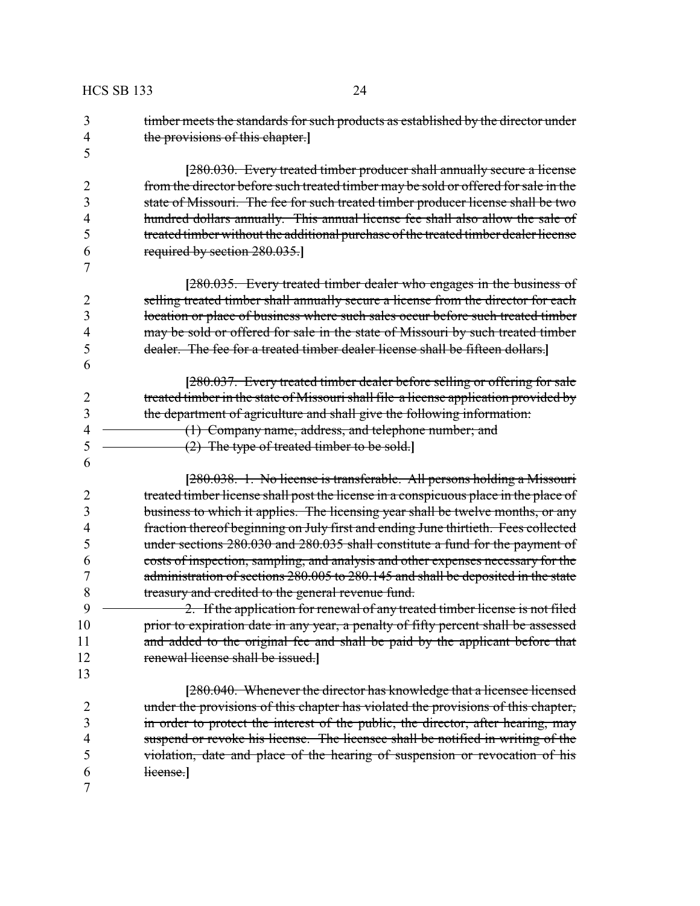| 3              | timber meets the standards for such products as established by the director under    |
|----------------|--------------------------------------------------------------------------------------|
| $\overline{4}$ | the provisions of this chapter.                                                      |
| 5              |                                                                                      |
|                | [280.030. Every treated timber producer shall annually secure a license              |
| $\overline{2}$ | from the director before such treated timber may be sold or offered for sale in the  |
| 3              | state of Missouri. The fee for such treated timber producer license shall be two     |
| $\overline{4}$ | hundred dollars annually. This annual license fee shall also allow the sale of       |
| 5              | treated timber without the additional purchase of the treated timber dealer license  |
| 6              | required by section 280.035.                                                         |
| 7              |                                                                                      |
|                | [280.035. Every treated timber dealer who engages in the business of                 |
| 2              | selling treated timber shall annually secure a license from the director for each    |
| 3              | location or place of business where such sales occur before such treated timber      |
| 4              | may be sold or offered for sale in the state of Missouri by such treated timber      |
| 5              | dealer. The fee for a treated timber dealer license shall be fifteen dollars.        |
| 6              |                                                                                      |
|                | [280.037. Every treated timber dealer before selling or offering for sale            |
| $\overline{2}$ | treated timber in the state of Missouri shall file a license application provided by |
| 3              | the department of agriculture and shall give the following information:              |
| $\overline{4}$ | (1) Company name, address, and telephone number; and                                 |
| 5              | $(2)$ The type of treated timber to be sold.                                         |
| 6              |                                                                                      |
|                | [280.038. 1. No license is transferable. All persons holding a Missouri              |
| 2              | treated timber license shall post the license in a conspicuous place in the place of |
| 3              | business to which it applies. The licensing year shall be twelve months, or any      |
| 4              | fraction thereof beginning on July first and ending June thirtieth. Fees collected   |
| 5              | under sections 280.030 and 280.035 shall constitute a fund for the payment of        |
| 6              | costs of inspection, sampling, and analysis and other expenses necessary for the     |
| 7              | administration of sections 280.005 to 280.145 and shall be deposited in the state    |
| 8              | treasury and credited to the general revenue fund.                                   |
| 9              | 2. If the application for renewal of any treated timber license is not filed         |
| 10             | prior to expiration date in any year, a penalty of fifty percent shall be assessed   |
| 11             | and added to the original fee and shall be paid by the applicant before that         |
| 12             | renewal license shall be issued.]                                                    |
| 13             |                                                                                      |
|                | [280.040. Whenever the director has knowledge that a licensee licensed               |
| $\overline{2}$ | under the provisions of this chapter has violated the provisions of this chapter,    |
| 3              | in order to protect the interest of the public, the director, after hearing, may     |
| $\overline{4}$ | suspend or revoke his license. The licensee shall be notified in writing of the      |
| 5              | violation, date and place of the hearing of suspension or revocation of his          |
| 6              | license.                                                                             |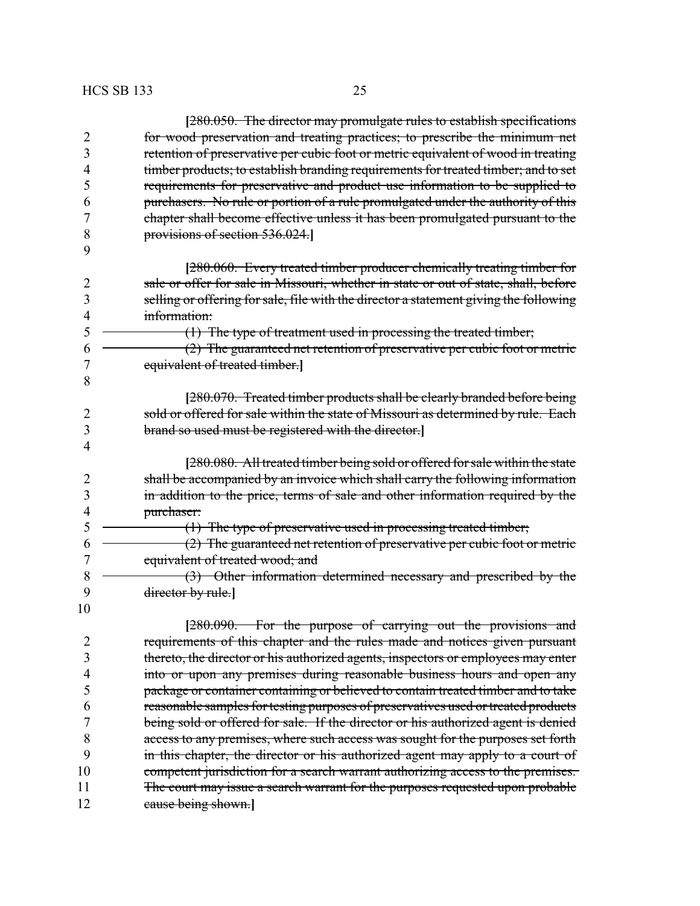|                | [280.050. The director may promulgate rules to establish specifications               |
|----------------|---------------------------------------------------------------------------------------|
| $\overline{2}$ | for wood preservation and treating practices; to prescribe the minimum net            |
| 3              | retention of preservative per cubic foot or metric equivalent of wood in treating     |
| 4              | timber products; to establish branding requirements for treated timber; and to set    |
| 5              | requirements for preservative and product use information to be supplied to           |
| 6              | purchasers. No rule or portion of a rule promulgated under the authority of this      |
| 7              | chapter shall become effective unless it has been promulgated pursuant to the         |
| 8              | provisions of section 536.024.                                                        |
| 9              |                                                                                       |
|                | [280.060. Every treated timber producer chemically treating timber for                |
| $\overline{2}$ | sale or offer for sale in Missouri, whether in state or out of state, shall, before   |
| 3              | selling or offering for sale, file with the director a statement giving the following |
| 4              | information:                                                                          |
| 5              | $(1)$ The type of treatment used in processing the treated timber;                    |
| 6              | (2) The guaranteed net retention of preservative per cubic foot or metric             |
| 7              | equivalent of treated timber.]                                                        |
| 8              |                                                                                       |
|                | [280.070. Treated timber products shall be clearly branded before being               |
| $\overline{2}$ | sold or offered for sale within the state of Missouri as determined by rule. Each     |
| 3              | brand so used must be registered with the director.                                   |
| 4              |                                                                                       |
|                | [280.080. All treated timber being sold or offered for sale within the state          |
| 2              | shall be accompanied by an invoice which shall carry the following information        |
| $\mathfrak{Z}$ | in addition to the price, terms of sale and other information required by the         |
| 4              | purchaser:                                                                            |
| 5              | (1) The type of preservative used in processing treated timber;                       |
| 6              | (2) The guaranteed net retention of preservative per cubic foot or metric             |
| 7              | equivalent of treated wood; and                                                       |
| 8              | (3) Other information determined necessary and prescribed by the                      |
| 9              | director by rule.]                                                                    |
| 10             |                                                                                       |
|                | [280.090. For the purpose of carrying out the provisions and                          |
| 2              | requirements of this chapter and the rules made and notices given pursuant            |
| 3              | thereto, the director or his authorized agents, inspectors or employees may enter     |
| 4              | into or upon any premises during reasonable business hours and open any               |
| 5              | package or container containing or believed to contain treated timber and to take     |
| 6              | reasonable samples for testing purposes of preservatives used or treated products     |
| 7              | being sold or offered for sale. If the director or his authorized agent is denied     |
| 8              | access to any premises, where such access was sought for the purposes set forth       |
| 9              | in this chapter, the director or his authorized agent may apply to a court of         |
| 10             | competent jurisdiction for a search warrant authorizing access to the premises.       |
| 11             | The court may issue a search warrant for the purposes requested upon probable         |
| 12             | cause being shown.]                                                                   |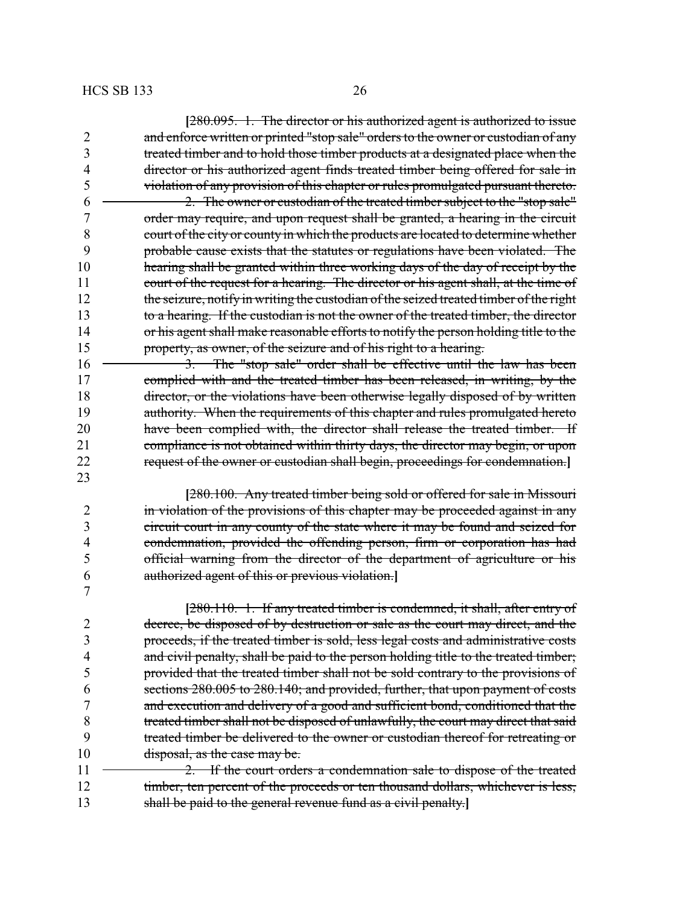|                | [280.095. 1. The director or his authorized agent is authorized to issue               |
|----------------|----------------------------------------------------------------------------------------|
| $\overline{2}$ | and enforce written or printed "stop sale" orders to the owner or custodian of any     |
| 3              | treated timber and to hold those timber products at a designated place when the        |
| 4              | director or his authorized agent finds treated timber being offered for sale in        |
| 5              | violation of any provision of this chapter or rules promulgated pursuant thereto.      |
| 6              | 2. The owner or custodian of the treated timber subject to the "stop sale"             |
| 7              | order may require, and upon request shall be granted, a hearing in the circuit         |
| 8              | court of the city or county in which the products are located to determine whether     |
| 9              | probable cause exists that the statutes or regulations have been violated. The         |
| 10             | hearing shall be granted within three working days of the day of receipt by the        |
| 11             | court of the request for a hearing. The director or his agent shall, at the time of    |
| 12             | the seizure, notify in writing the custodian of the seized treated timber of the right |
| 13             | to a hearing. If the custodian is not the owner of the treated timber, the director    |
| 14             | or his agent shall make reasonable efforts to notify the person holding title to the   |
| 15             | property, as owner, of the seizure and of his right to a hearing.                      |
| 16             | 3. The "stop sale" order shall be effective until the law has been                     |
| 17             | complied with and the treated timber has been released, in writing, by the             |
| 18             | director, or the violations have been otherwise legally disposed of by written         |
| 19             | authority. When the requirements of this chapter and rules promulgated hereto          |
| 20             | have been complied with, the director shall release the treated timber. If             |
| 21             | compliance is not obtained within thirty days, the director may begin, or upon         |
| 22             | request of the owner or custodian shall begin, proceedings for condemnation.           |
| 23             |                                                                                        |
|                | [280.100. Any treated timber being sold or offered for sale in Missouri                |
| 2              | in violation of the provisions of this chapter may be proceeded against in any         |
| 3              | circuit court in any county of the state where it may be found and seized for          |
| 4              | condemnation, provided the offending person, firm or corporation has had               |
| 5              | official warning from the director of the department of agriculture or his             |
| 6              | authorized agent of this or previous violation.                                        |
| 7              |                                                                                        |
|                | [280.110. 1. If any treated timber is condemned, it shall, after entry of              |
| 2              | decree, be disposed of by destruction or sale as the court may direct, and the         |
| 3              | proceeds, if the treated timber is sold, less legal costs and administrative costs     |
| 4              | and civil penalty, shall be paid to the person holding title to the treated timber;    |
| 5              | provided that the treated timber shall not be sold contrary to the provisions of       |
| 6              | sections 280.005 to 280.140; and provided, further, that upon payment of costs         |
| 7              | and execution and delivery of a good and sufficient bond, conditioned that the         |
| 8              | treated timber shall not be disposed of unlawfully, the court may direct that said     |
| 9              | treated timber be delivered to the owner or custodian thereof for retreating or        |
| 10             | disposal, as the case may be.                                                          |
| 11             | If the court orders a condemnation sale to dispose of the treated                      |
| 12             | timber, ten percent of the proceeds or ten thousand dollars, whichever is less,        |
| 13             | shall be paid to the general revenue fund as a civil penalty.]                         |